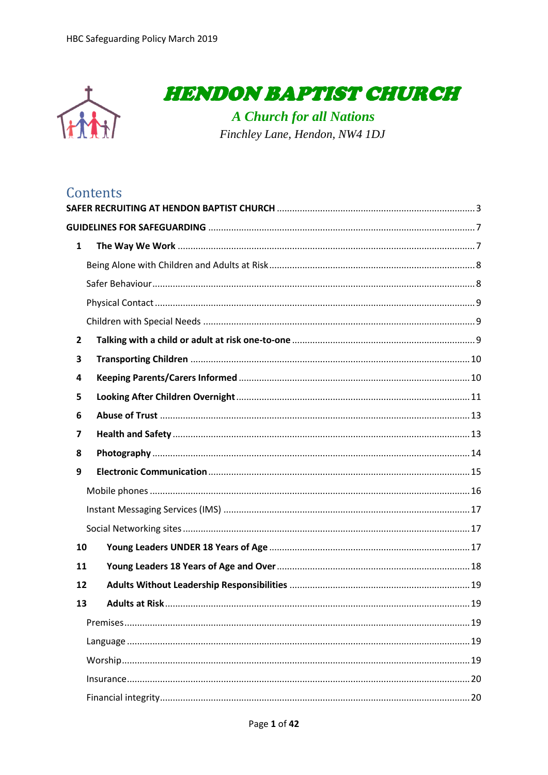

**HENDON BAPTIST CHURCH** 

**A Church for all Nations** Finchley Lane, Hendon, NW4 1DJ

# Contents

| $\mathbf{1}$   |  |  |  |
|----------------|--|--|--|
|                |  |  |  |
|                |  |  |  |
|                |  |  |  |
|                |  |  |  |
| $\overline{2}$ |  |  |  |
| 3              |  |  |  |
| 4              |  |  |  |
| 5              |  |  |  |
| 6              |  |  |  |
| 7              |  |  |  |
| 8              |  |  |  |
| 9              |  |  |  |
|                |  |  |  |
|                |  |  |  |
|                |  |  |  |
| 10             |  |  |  |
| 11             |  |  |  |
| 12             |  |  |  |
| 13             |  |  |  |
|                |  |  |  |
|                |  |  |  |
|                |  |  |  |
|                |  |  |  |
|                |  |  |  |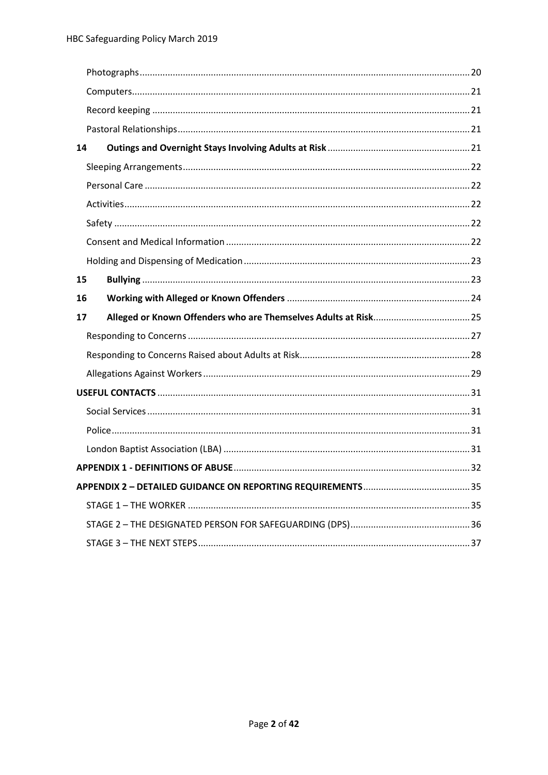| 14 |  |
|----|--|
|    |  |
|    |  |
|    |  |
|    |  |
|    |  |
|    |  |
| 15 |  |
| 16 |  |
|    |  |
| 17 |  |
|    |  |
|    |  |
|    |  |
|    |  |
|    |  |
|    |  |
|    |  |
|    |  |
|    |  |
|    |  |
|    |  |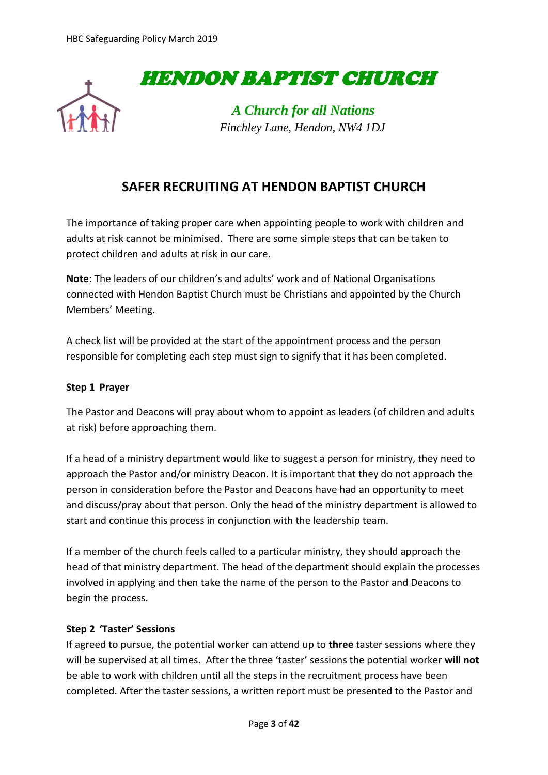

# **SAFER RECRUITING AT HENDON BAPTIST CHURCH**

<span id="page-2-0"></span>The importance of taking proper care when appointing people to work with children and adults at risk cannot be minimised. There are some simple steps that can be taken to protect children and adults at risk in our care.

**Note**: The leaders of our children's and adults' work and of National Organisations connected with Hendon Baptist Church must be Christians and appointed by the Church Members' Meeting.

A check list will be provided at the start of the appointment process and the person responsible for completing each step must sign to signify that it has been completed.

#### **Step 1 Prayer**

The Pastor and Deacons will pray about whom to appoint as leaders (of children and adults at risk) before approaching them.

If a head of a ministry department would like to suggest a person for ministry, they need to approach the Pastor and/or ministry Deacon. It is important that they do not approach the person in consideration before the Pastor and Deacons have had an opportunity to meet and discuss/pray about that person. Only the head of the ministry department is allowed to start and continue this process in conjunction with the leadership team.

If a member of the church feels called to a particular ministry, they should approach the head of that ministry department. The head of the department should explain the processes involved in applying and then take the name of the person to the Pastor and Deacons to begin the process.

#### **Step 2 'Taster' Sessions**

If agreed to pursue, the potential worker can attend up to **three** taster sessions where they will be supervised at all times. After the three 'taster' sessions the potential worker **will not** be able to work with children until all the steps in the recruitment process have been completed. After the taster sessions, a written report must be presented to the Pastor and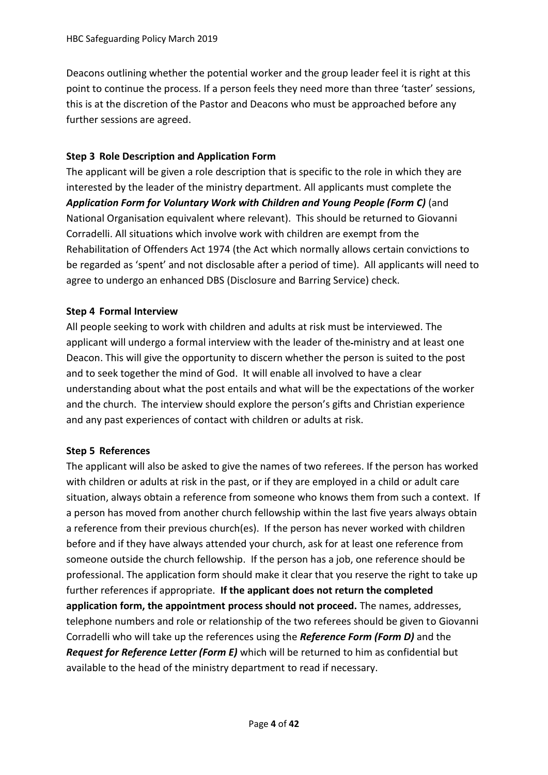Deacons outlining whether the potential worker and the group leader feel it is right at this point to continue the process. If a person feels they need more than three 'taster' sessions, this is at the discretion of the Pastor and Deacons who must be approached before any further sessions are agreed.

## **Step 3 Role Description and Application Form**

The applicant will be given a role description that is specific to the role in which they are interested by the leader of the ministry department. All applicants must complete the *Application Form for Voluntary Work with Children and Young People (Form C)* (and National Organisation equivalent where relevant). This should be returned to Giovanni Corradelli. All situations which involve work with children are exempt from the Rehabilitation of Offenders Act 1974 (the Act which normally allows certain convictions to be regarded as 'spent' and not disclosable after a period of time). All applicants will need to agree to undergo an enhanced DBS (Disclosure and Barring Service) check.

## **Step 4 Formal Interview**

All people seeking to work with children and adults at risk must be interviewed. The applicant will undergo a formal interview with the leader of the ministry and at least one Deacon. This will give the opportunity to discern whether the person is suited to the post and to seek together the mind of God. It will enable all involved to have a clear understanding about what the post entails and what will be the expectations of the worker and the church. The interview should explore the person's gifts and Christian experience and any past experiences of contact with children or adults at risk.

## **Step 5 References**

The applicant will also be asked to give the names of two referees. If the person has worked with children or adults at risk in the past, or if they are employed in a child or adult care situation, always obtain a reference from someone who knows them from such a context. If a person has moved from another church fellowship within the last five years always obtain a reference from their previous church(es). If the person has never worked with children before and if they have always attended your church, ask for at least one reference from someone outside the church fellowship. If the person has a job, one reference should be professional. The application form should make it clear that you reserve the right to take up further references if appropriate. **If the applicant does not return the completed application form, the appointment process should not proceed.** The names, addresses, telephone numbers and role or relationship of the two referees should be given to Giovanni Corradelli who will take up the references using the *Reference Form (Form D)* and the *Request for Reference Letter (Form E)* which will be returned to him as confidential but available to the head of the ministry department to read if necessary.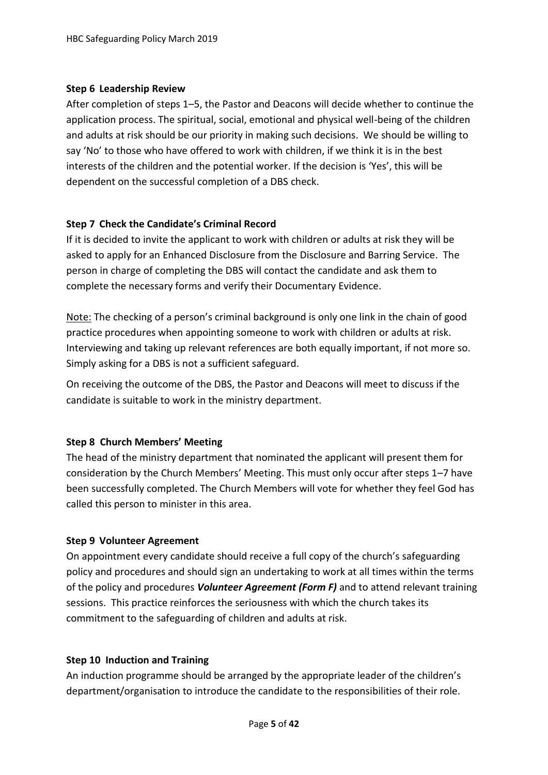#### **Step 6 Leadership Review**

After completion of steps 1–5, the Pastor and Deacons will decide whether to continue the application process. The spiritual, social, emotional and physical well-being of the children and adults at risk should be our priority in making such decisions. We should be willing to say 'No' to those who have offered to work with children, if we think it is in the best interests of the children and the potential worker. If the decision is 'Yes', this will be dependent on the successful completion of a DBS check.

## **Step 7 Check the Candidate's Criminal Record**

If it is decided to invite the applicant to work with children or adults at risk they will be asked to apply for an Enhanced Disclosure from the Disclosure and Barring Service. The person in charge of completing the DBS will contact the candidate and ask them to complete the necessary forms and verify their Documentary Evidence.

Note: The checking of a person's criminal background is only one link in the chain of good practice procedures when appointing someone to work with children or adults at risk. Interviewing and taking up relevant references are both equally important, if not more so. Simply asking for a DBS is not a sufficient safeguard.

On receiving the outcome of the DBS, the Pastor and Deacons will meet to discuss if the candidate is suitable to work in the ministry department.

### **Step 8 Church Members' Meeting**

The head of the ministry department that nominated the applicant will present them for consideration by the Church Members' Meeting. This must only occur after steps 1–7 have been successfully completed. The Church Members will vote for whether they feel God has called this person to minister in this area.

### **Step 9 Volunteer Agreement**

On appointment every candidate should receive a full copy of the church's safeguarding policy and procedures and should sign an undertaking to work at all times within the terms of the policy and procedures *Volunteer Agreement (Form F)* and to attend relevant training sessions. This practice reinforces the seriousness with which the church takes its commitment to the safeguarding of children and adults at risk.

### **Step 10 Induction and Training**

An induction programme should be arranged by the appropriate leader of the children's department/organisation to introduce the candidate to the responsibilities of their role.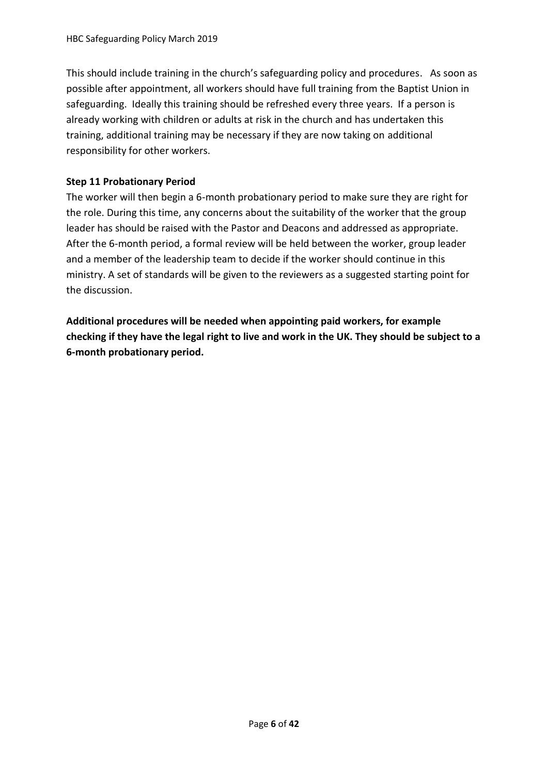This should include training in the church's safeguarding policy and procedures. As soon as possible after appointment, all workers should have full training from the Baptist Union in safeguarding. Ideally this training should be refreshed every three years. If a person is already working with children or adults at risk in the church and has undertaken this training, additional training may be necessary if they are now taking on additional responsibility for other workers.

## **Step 11 Probationary Period**

The worker will then begin a 6-month probationary period to make sure they are right for the role. During this time, any concerns about the suitability of the worker that the group leader has should be raised with the Pastor and Deacons and addressed as appropriate. After the 6-month period, a formal review will be held between the worker, group leader and a member of the leadership team to decide if the worker should continue in this ministry. A set of standards will be given to the reviewers as a suggested starting point for the discussion.

**Additional procedures will be needed when appointing paid workers, for example checking if they have the legal right to live and work in the UK. They should be subject to a 6-month probationary period.**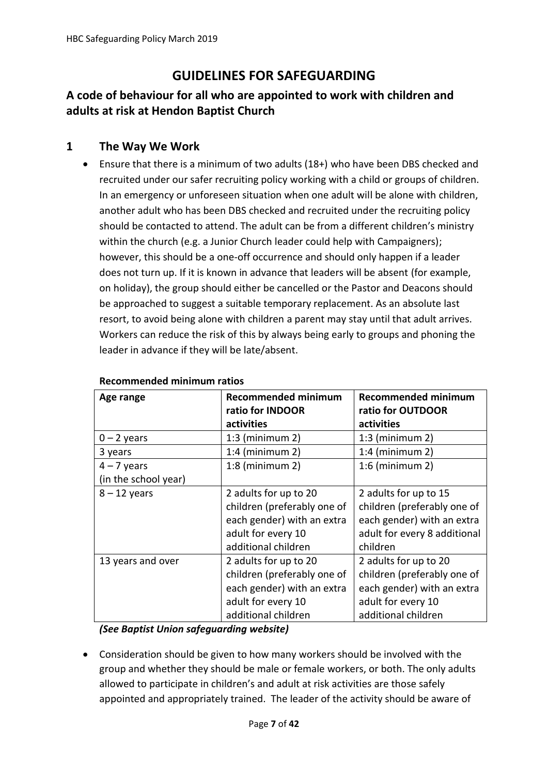# **GUIDELINES FOR SAFEGUARDING**

# <span id="page-6-0"></span>**A code of behaviour for all who are appointed to work with children and adults at risk at Hendon Baptist Church**

## <span id="page-6-1"></span>**1 The Way We Work**

• Ensure that there is a minimum of two adults (18+) who have been DBS checked and recruited under our safer recruiting policy working with a child or groups of children. In an emergency or unforeseen situation when one adult will be alone with children, another adult who has been DBS checked and recruited under the recruiting policy should be contacted to attend. The adult can be from a different children's ministry within the church (e.g. a Junior Church leader could help with Campaigners); however, this should be a one-off occurrence and should only happen if a leader does not turn up. If it is known in advance that leaders will be absent (for example, on holiday), the group should either be cancelled or the Pastor and Deacons should be approached to suggest a suitable temporary replacement. As an absolute last resort, to avoid being alone with children a parent may stay until that adult arrives. Workers can reduce the risk of this by always being early to groups and phoning the leader in advance if they will be late/absent.

| Age range            | <b>Recommended minimum</b>  | <b>Recommended minimum</b>   |
|----------------------|-----------------------------|------------------------------|
|                      | ratio for INDOOR            | ratio for OUTDOOR            |
|                      | activities                  | activities                   |
| $0 - 2$ years        | $1:3$ (minimum 2)           | $1:3$ (minimum 2)            |
| 3 years              | $1:4$ (minimum 2)           | $1:4$ (minimum 2)            |
| $4 - 7$ years        | $1:8$ (minimum 2)           | $1:6$ (minimum 2)            |
| (in the school year) |                             |                              |
| $8 - 12$ years       | 2 adults for up to 20       | 2 adults for up to 15        |
|                      | children (preferably one of | children (preferably one of  |
|                      | each gender) with an extra  | each gender) with an extra   |
|                      | adult for every 10          | adult for every 8 additional |
|                      | additional children         | children                     |
| 13 years and over    | 2 adults for up to 20       | 2 adults for up to 20        |
|                      | children (preferably one of | children (preferably one of  |
|                      | each gender) with an extra  | each gender) with an extra   |
|                      | adult for every 10          | adult for every 10           |
|                      | additional children         | additional children          |

#### **Recommended minimum ratios**

*(See Baptist Union safeguarding website)*

• Consideration should be given to how many workers should be involved with the group and whether they should be male or female workers, or both. The only adults allowed to participate in children's and adult at risk activities are those safely appointed and appropriately trained. The leader of the activity should be aware of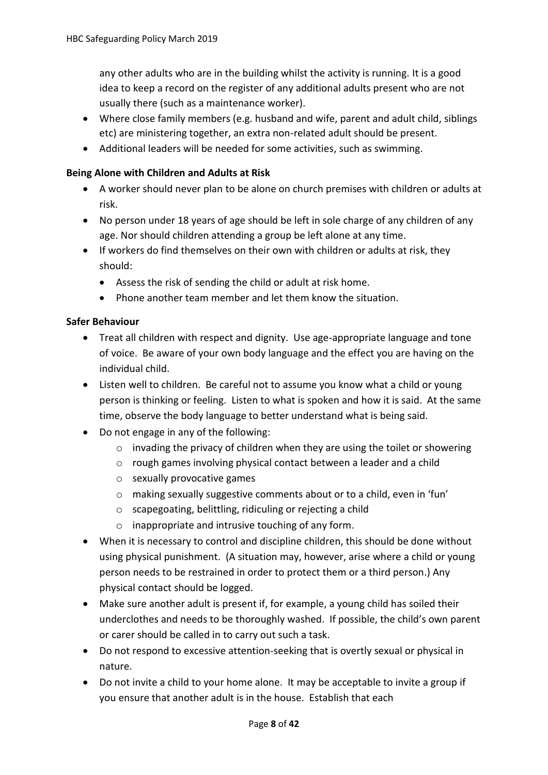any other adults who are in the building whilst the activity is running. It is a good idea to keep a record on the register of any additional adults present who are not usually there (such as a maintenance worker).

- Where close family members (e.g. husband and wife, parent and adult child, siblings etc) are ministering together, an extra non-related adult should be present.
- Additional leaders will be needed for some activities, such as swimming.

### <span id="page-7-0"></span>**Being Alone with Children and Adults at Risk**

- A worker should never plan to be alone on church premises with children or adults at risk.
- No person under 18 years of age should be left in sole charge of any children of any age. Nor should children attending a group be left alone at any time.
- If workers do find themselves on their own with children or adults at risk, they should:
	- Assess the risk of sending the child or adult at risk home.
	- Phone another team member and let them know the situation.

#### <span id="page-7-1"></span>**Safer Behaviour**

- Treat all children with respect and dignity. Use age-appropriate language and tone of voice. Be aware of your own body language and the effect you are having on the individual child.
- Listen well to children. Be careful not to assume you know what a child or young person is thinking or feeling. Listen to what is spoken and how it is said. At the same time, observe the body language to better understand what is being said.
- Do not engage in any of the following:
	- o invading the privacy of children when they are using the toilet or showering
	- o rough games involving physical contact between a leader and a child
	- o sexually provocative games
	- o making sexually suggestive comments about or to a child, even in 'fun'
	- o scapegoating, belittling, ridiculing or rejecting a child
	- o inappropriate and intrusive touching of any form.
- When it is necessary to control and discipline children, this should be done without using physical punishment. (A situation may, however, arise where a child or young person needs to be restrained in order to protect them or a third person.) Any physical contact should be logged.
- Make sure another adult is present if, for example, a young child has soiled their underclothes and needs to be thoroughly washed. If possible, the child's own parent or carer should be called in to carry out such a task.
- Do not respond to excessive attention-seeking that is overtly sexual or physical in nature.
- Do not invite a child to your home alone. It may be acceptable to invite a group if you ensure that another adult is in the house. Establish that each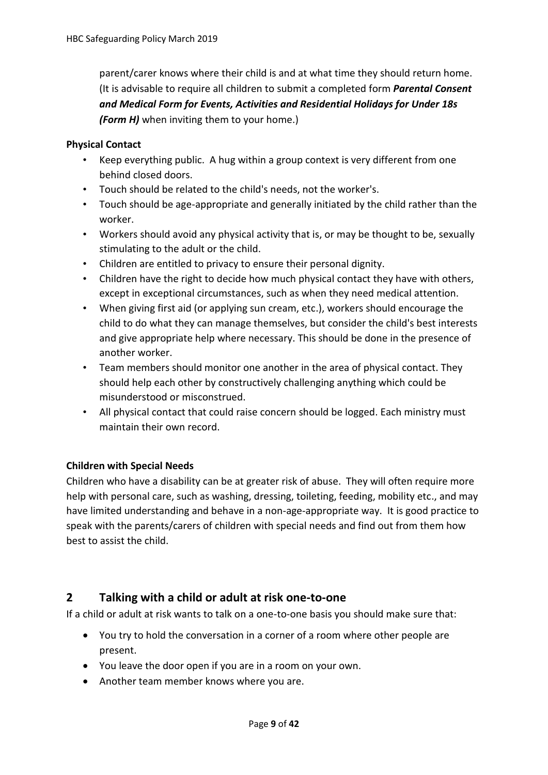parent/carer knows where their child is and at what time they should return home. (It is advisable to require all children to submit a completed form *Parental Consent and Medical Form for Events, Activities and Residential Holidays for Under 18s (Form H)* when inviting them to your home.)

### <span id="page-8-0"></span>**Physical Contact**

- Keep everything public. A hug within a group context is very different from one behind closed doors.
- Touch should be related to the child's needs, not the worker's.
- Touch should be age-appropriate and generally initiated by the child rather than the worker.
- Workers should avoid any physical activity that is, or may be thought to be, sexually stimulating to the adult or the child.
- Children are entitled to privacy to ensure their personal dignity.
- Children have the right to decide how much physical contact they have with others, except in exceptional circumstances, such as when they need medical attention.
- When giving first aid (or applying sun cream, etc.), workers should encourage the child to do what they can manage themselves, but consider the child's best interests and give appropriate help where necessary. This should be done in the presence of another worker.
- Team members should monitor one another in the area of physical contact. They should help each other by constructively challenging anything which could be misunderstood or misconstrued.
- All physical contact that could raise concern should be logged. Each ministry must maintain their own record.

### <span id="page-8-1"></span>**Children with Special Needs**

Children who have a disability can be at greater risk of abuse. They will often require more help with personal care, such as washing, dressing, toileting, feeding, mobility etc., and may have limited understanding and behave in a non-age-appropriate way. It is good practice to speak with the parents/carers of children with special needs and find out from them how best to assist the child.

## <span id="page-8-2"></span>**2 Talking with a child or adult at risk one-to-one**

If a child or adult at risk wants to talk on a one-to-one basis you should make sure that:

- You try to hold the conversation in a corner of a room where other people are present.
- You leave the door open if you are in a room on your own.
- Another team member knows where you are.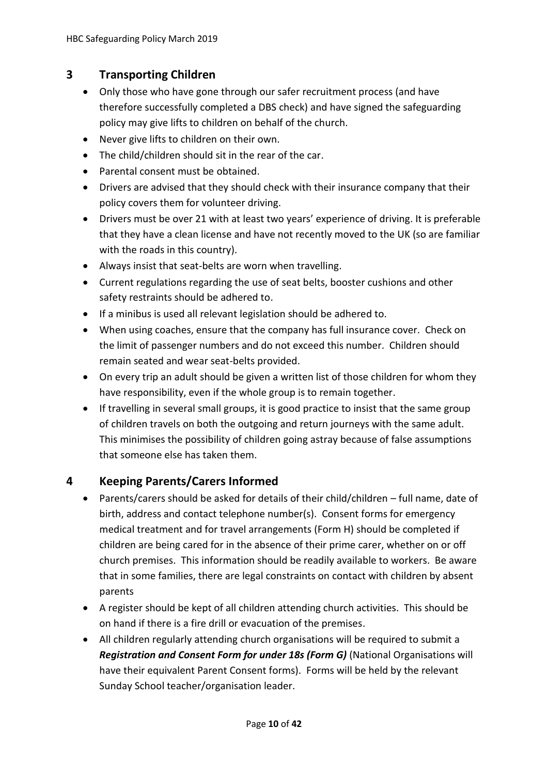## <span id="page-9-0"></span>**3 Transporting Children**

- Only those who have gone through our safer recruitment process (and have therefore successfully completed a DBS check) and have signed the safeguarding policy may give lifts to children on behalf of the church.
- Never give lifts to children on their own.
- The child/children should sit in the rear of the car.
- Parental consent must be obtained.
- Drivers are advised that they should check with their insurance company that their policy covers them for volunteer driving.
- Drivers must be over 21 with at least two years' experience of driving. It is preferable that they have a clean license and have not recently moved to the UK (so are familiar with the roads in this country).
- Always insist that seat-belts are worn when travelling.
- Current regulations regarding the use of seat belts, booster cushions and other safety restraints should be adhered to.
- If a minibus is used all relevant legislation should be adhered to.
- When using coaches, ensure that the company has full insurance cover. Check on the limit of passenger numbers and do not exceed this number. Children should remain seated and wear seat-belts provided.
- On every trip an adult should be given a written list of those children for whom they have responsibility, even if the whole group is to remain together.
- If travelling in several small groups, it is good practice to insist that the same group of children travels on both the outgoing and return journeys with the same adult. This minimises the possibility of children going astray because of false assumptions that someone else has taken them.

## <span id="page-9-1"></span>**4 Keeping Parents/Carers Informed**

- Parents/carers should be asked for details of their child/children full name, date of birth, address and contact telephone number(s). Consent forms for emergency medical treatment and for travel arrangements (Form H) should be completed if children are being cared for in the absence of their prime carer, whether on or off church premises. This information should be readily available to workers. Be aware that in some families, there are legal constraints on contact with children by absent parents
- A register should be kept of all children attending church activities. This should be on hand if there is a fire drill or evacuation of the premises.
- All children regularly attending church organisations will be required to submit a *Registration and Consent Form for under 18s (Form G)* (National Organisations will have their equivalent Parent Consent forms). Forms will be held by the relevant Sunday School teacher/organisation leader.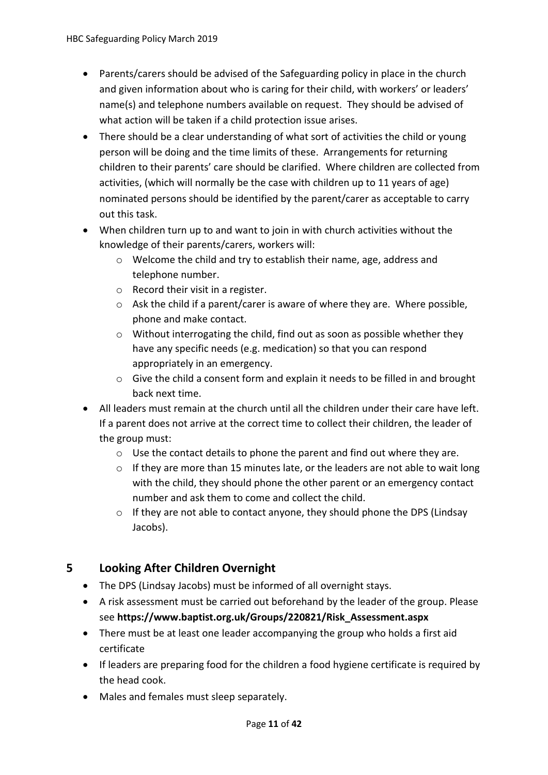- Parents/carers should be advised of the Safeguarding policy in place in the church and given information about who is caring for their child, with workers' or leaders' name(s) and telephone numbers available on request. They should be advised of what action will be taken if a child protection issue arises.
- There should be a clear understanding of what sort of activities the child or young person will be doing and the time limits of these. Arrangements for returning children to their parents' care should be clarified. Where children are collected from activities, (which will normally be the case with children up to 11 years of age) nominated persons should be identified by the parent/carer as acceptable to carry out this task.
- When children turn up to and want to join in with church activities without the knowledge of their parents/carers, workers will:
	- o Welcome the child and try to establish their name, age, address and telephone number.
	- o Record their visit in a register.
	- $\circ$  Ask the child if a parent/carer is aware of where they are. Where possible, phone and make contact.
	- $\circ$  Without interrogating the child, find out as soon as possible whether they have any specific needs (e.g. medication) so that you can respond appropriately in an emergency.
	- o Give the child a consent form and explain it needs to be filled in and brought back next time.
- All leaders must remain at the church until all the children under their care have left. If a parent does not arrive at the correct time to collect their children, the leader of the group must:
	- o Use the contact details to phone the parent and find out where they are.
	- $\circ$  If they are more than 15 minutes late, or the leaders are not able to wait long with the child, they should phone the other parent or an emergency contact number and ask them to come and collect the child.
	- o If they are not able to contact anyone, they should phone the DPS (Lindsay Jacobs).

# <span id="page-10-0"></span>**5 Looking After Children Overnight**

- The DPS (Lindsay Jacobs) must be informed of all overnight stays.
- A risk assessment must be carried out beforehand by the leader of the group. Please see **https://www.baptist.org.uk/Groups/220821/Risk\_Assessment.aspx**
- There must be at least one leader accompanying the group who holds a first aid certificate
- If leaders are preparing food for the children a food hygiene certificate is required by the head cook.
- Males and females must sleep separately.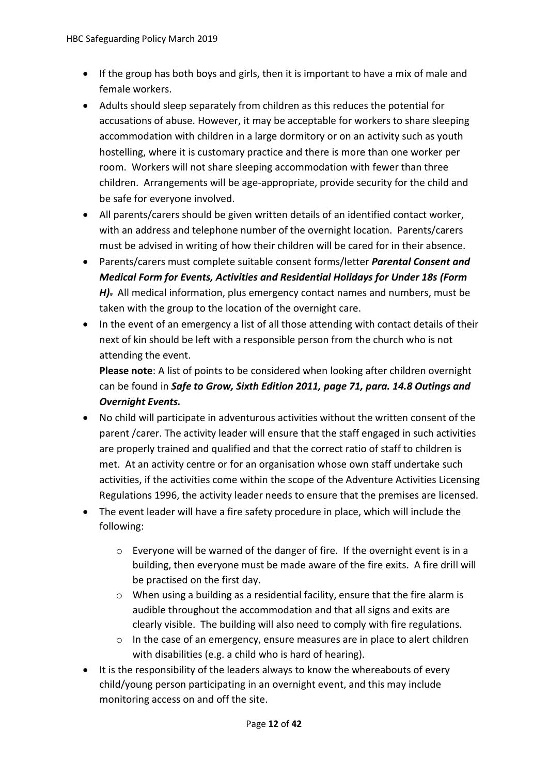- If the group has both boys and girls, then it is important to have a mix of male and female workers.
- Adults should sleep separately from children as this reduces the potential for accusations of abuse. However, it may be acceptable for workers to share sleeping accommodation with children in a large dormitory or on an activity such as youth hostelling, where it is customary practice and there is more than one worker per room. Workers will not share sleeping accommodation with fewer than three children. Arrangements will be age-appropriate, provide security for the child and be safe for everyone involved.
- All parents/carers should be given written details of an identified contact worker, with an address and telephone number of the overnight location. Parents/carers must be advised in writing of how their children will be cared for in their absence.
- Parents/carers must complete suitable consent forms/letter *Parental Consent and Medical Form for Events, Activities and Residential Holidays for Under 18s (Form H)*. All medical information, plus emergency contact names and numbers, must be taken with the group to the location of the overnight care.
- In the event of an emergency a list of all those attending with contact details of their next of kin should be left with a responsible person from the church who is not attending the event.

**Please note**: A list of points to be considered when looking after children overnight can be found in *Safe to Grow, Sixth Edition 2011, page 71, para. 14.8 Outings and Overnight Events.*

- No child will participate in adventurous activities without the written consent of the parent /carer. The activity leader will ensure that the staff engaged in such activities are properly trained and qualified and that the correct ratio of staff to children is met. At an activity centre or for an organisation whose own staff undertake such activities, if the activities come within the scope of the Adventure Activities Licensing Regulations 1996, the activity leader needs to ensure that the premises are licensed.
- The event leader will have a fire safety procedure in place, which will include the following:
	- $\circ$  Everyone will be warned of the danger of fire. If the overnight event is in a building, then everyone must be made aware of the fire exits. A fire drill will be practised on the first day.
	- o When using a building as a residential facility, ensure that the fire alarm is audible throughout the accommodation and that all signs and exits are clearly visible. The building will also need to comply with fire regulations.
	- $\circ$  In the case of an emergency, ensure measures are in place to alert children with disabilities (e.g. a child who is hard of hearing).
- It is the responsibility of the leaders always to know the whereabouts of every child/young person participating in an overnight event, and this may include monitoring access on and off the site.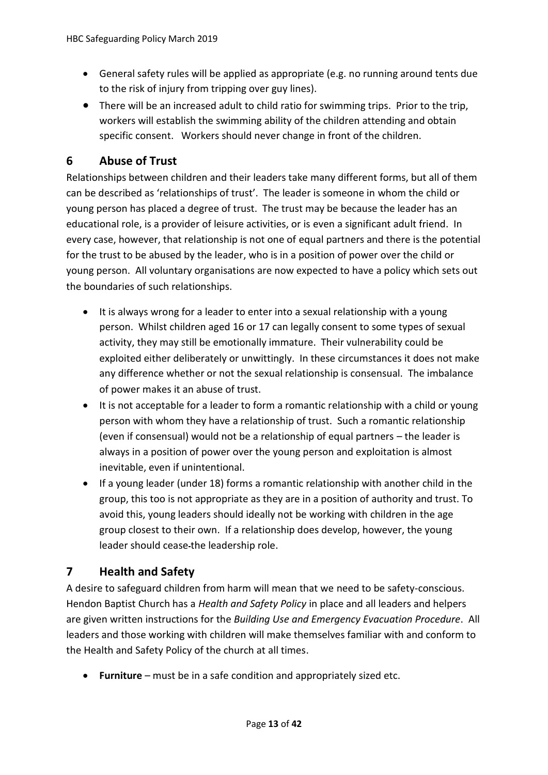- General safety rules will be applied as appropriate (e.g. no running around tents due to the risk of injury from tripping over guy lines).
- There will be an increased adult to child ratio for swimming trips. Prior to the trip, workers will establish the swimming ability of the children attending and obtain specific consent. Workers should never change in front of the children.

# <span id="page-12-0"></span>**6 Abuse of Trust**

Relationships between children and their leaders take many different forms, but all of them can be described as 'relationships of trust'. The leader is someone in whom the child or young person has placed a degree of trust. The trust may be because the leader has an educational role, is a provider of leisure activities, or is even a significant adult friend. In every case, however, that relationship is not one of equal partners and there is the potential for the trust to be abused by the leader, who is in a position of power over the child or young person. All voluntary organisations are now expected to have a policy which sets out the boundaries of such relationships.

- It is always wrong for a leader to enter into a sexual relationship with a young person. Whilst children aged 16 or 17 can legally consent to some types of sexual activity, they may still be emotionally immature. Their vulnerability could be exploited either deliberately or unwittingly. In these circumstances it does not make any difference whether or not the sexual relationship is consensual. The imbalance of power makes it an abuse of trust.
- It is not acceptable for a leader to form a romantic relationship with a child or young person with whom they have a relationship of trust. Such a romantic relationship (even if consensual) would not be a relationship of equal partners – the leader is always in a position of power over the young person and exploitation is almost inevitable, even if unintentional.
- If a young leader (under 18) forms a romantic relationship with another child in the group, this too is not appropriate as they are in a position of authority and trust. To avoid this, young leaders should ideally not be working with children in the age group closest to their own. If a relationship does develop, however, the young leader should cease the leadership role.

# <span id="page-12-1"></span>**7 Health and Safety**

A desire to safeguard children from harm will mean that we need to be safety-conscious. Hendon Baptist Church has a *Health and Safety Policy* in place and all leaders and helpers are given written instructions for the *Building Use and Emergency Evacuation Procedure*. All leaders and those working with children will make themselves familiar with and conform to the Health and Safety Policy of the church at all times.

• **Furniture** – must be in a safe condition and appropriately sized etc.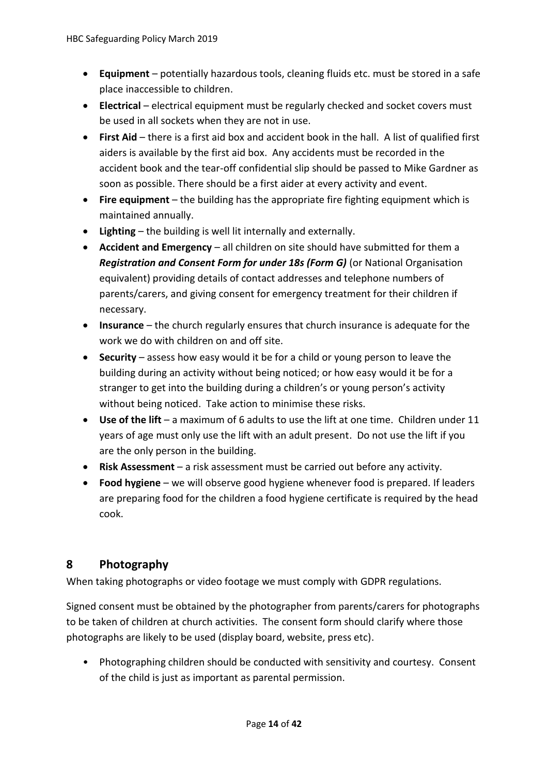- **Equipment** potentially hazardous tools, cleaning fluids etc. must be stored in a safe place inaccessible to children.
- **Electrical** electrical equipment must be regularly checked and socket covers must be used in all sockets when they are not in use.
- **First Aid** there is a first aid box and accident book in the hall. A list of qualified first aiders is available by the first aid box. Any accidents must be recorded in the accident book and the tear-off confidential slip should be passed to Mike Gardner as soon as possible. There should be a first aider at every activity and event.
- **Fire equipment** the building has the appropriate fire fighting equipment which is maintained annually.
- **Lighting** the building is well lit internally and externally.
- **Accident and Emergency** all children on site should have submitted for them a *Registration and Consent Form for under 18s (Form G)* (or National Organisation equivalent) providing details of contact addresses and telephone numbers of parents/carers, and giving consent for emergency treatment for their children if necessary.
- **Insurance** the church regularly ensures that church insurance is adequate for the work we do with children on and off site.
- **Security** assess how easy would it be for a child or young person to leave the building during an activity without being noticed; or how easy would it be for a stranger to get into the building during a children's or young person's activity without being noticed. Take action to minimise these risks.
- **Use of the lift** a maximum of 6 adults to use the lift at one time. Children under 11 years of age must only use the lift with an adult present. Do not use the lift if you are the only person in the building.
- **Risk Assessment**  a risk assessment must be carried out before any activity.
- **Food hygiene**  we will observe good hygiene whenever food is prepared. If leaders are preparing food for the children a food hygiene certificate is required by the head cook.

# <span id="page-13-0"></span>**8 Photography**

When taking photographs or video footage we must comply with GDPR regulations.

Signed consent must be obtained by the photographer from parents/carers for photographs to be taken of children at church activities. The consent form should clarify where those photographs are likely to be used (display board, website, press etc).

• Photographing children should be conducted with sensitivity and courtesy. Consent of the child is just as important as parental permission.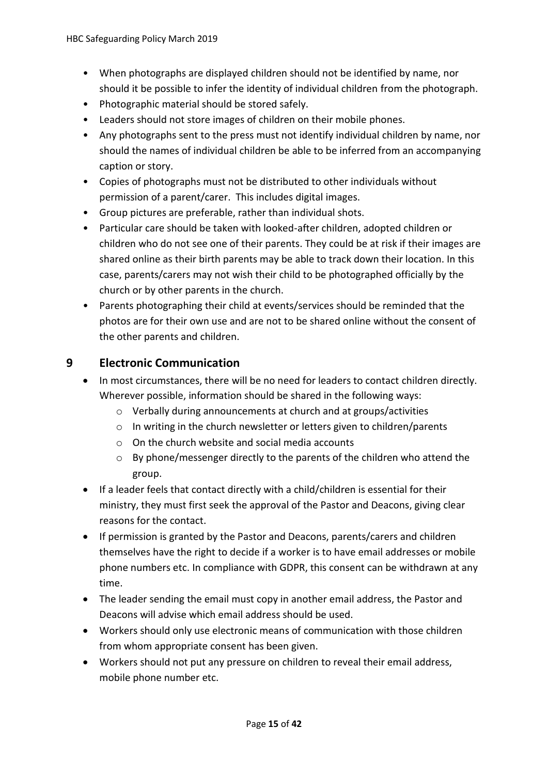- When photographs are displayed children should not be identified by name, nor should it be possible to infer the identity of individual children from the photograph.
- Photographic material should be stored safely.
- Leaders should not store images of children on their mobile phones.
- Any photographs sent to the press must not identify individual children by name, nor should the names of individual children be able to be inferred from an accompanying caption or story.
- Copies of photographs must not be distributed to other individuals without permission of a parent/carer. This includes digital images.
- Group pictures are preferable, rather than individual shots.
- Particular care should be taken with looked-after children, adopted children or children who do not see one of their parents. They could be at risk if their images are shared online as their birth parents may be able to track down their location. In this case, parents/carers may not wish their child to be photographed officially by the church or by other parents in the church.
- Parents photographing their child at events/services should be reminded that the photos are for their own use and are not to be shared online without the consent of the other parents and children.

## <span id="page-14-0"></span>**9 Electronic Communication**

- In most circumstances, there will be no need for leaders to contact children directly. Wherever possible, information should be shared in the following ways:
	- o Verbally during announcements at church and at groups/activities
	- o In writing in the church newsletter or letters given to children/parents
	- o On the church website and social media accounts
	- o By phone/messenger directly to the parents of the children who attend the group.
- If a leader feels that contact directly with a child/children is essential for their ministry, they must first seek the approval of the Pastor and Deacons, giving clear reasons for the contact.
- If permission is granted by the Pastor and Deacons, parents/carers and children themselves have the right to decide if a worker is to have email addresses or mobile phone numbers etc. In compliance with GDPR, this consent can be withdrawn at any time.
- The leader sending the email must copy in another email address, the Pastor and Deacons will advise which email address should be used.
- Workers should only use electronic means of communication with those children from whom appropriate consent has been given.
- Workers should not put any pressure on children to reveal their email address, mobile phone number etc.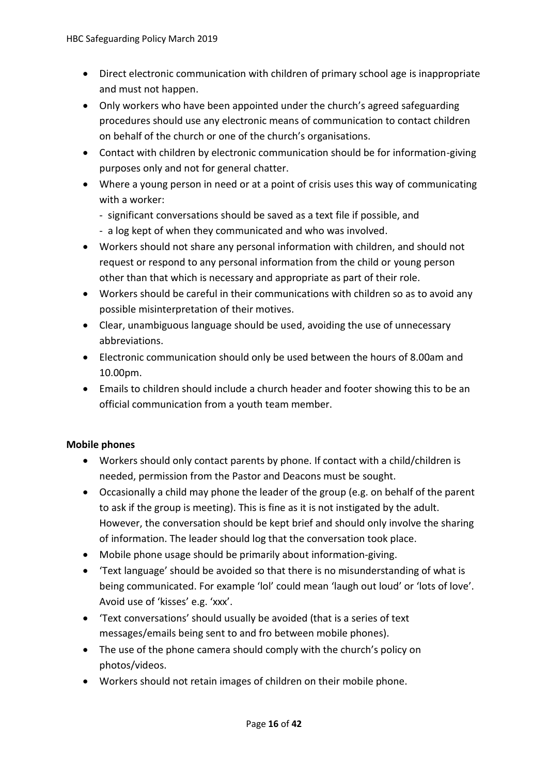- Direct electronic communication with children of primary school age is inappropriate and must not happen.
- Only workers who have been appointed under the church's agreed safeguarding procedures should use any electronic means of communication to contact children on behalf of the church or one of the church's organisations.
- Contact with children by electronic communication should be for information-giving purposes only and not for general chatter.
- Where a young person in need or at a point of crisis uses this way of communicating with a worker:
	- significant conversations should be saved as a text file if possible, and
	- a log kept of when they communicated and who was involved.
- Workers should not share any personal information with children, and should not request or respond to any personal information from the child or young person other than that which is necessary and appropriate as part of their role.
- Workers should be careful in their communications with children so as to avoid any possible misinterpretation of their motives.
- Clear, unambiguous language should be used, avoiding the use of unnecessary abbreviations.
- Electronic communication should only be used between the hours of 8.00am and 10.00pm.
- Emails to children should include a church header and footer showing this to be an official communication from a youth team member.

### <span id="page-15-0"></span>**Mobile phones**

- Workers should only contact parents by phone. If contact with a child/children is needed, permission from the Pastor and Deacons must be sought.
- Occasionally a child may phone the leader of the group (e.g. on behalf of the parent to ask if the group is meeting). This is fine as it is not instigated by the adult. However, the conversation should be kept brief and should only involve the sharing of information. The leader should log that the conversation took place.
- Mobile phone usage should be primarily about information-giving.
- 'Text language' should be avoided so that there is no misunderstanding of what is being communicated. For example 'lol' could mean 'laugh out loud' or 'lots of love'. Avoid use of 'kisses' e.g. 'xxx'.
- 'Text conversations' should usually be avoided (that is a series of text messages/emails being sent to and fro between mobile phones).
- The use of the phone camera should comply with the church's policy on photos/videos.
- Workers should not retain images of children on their mobile phone.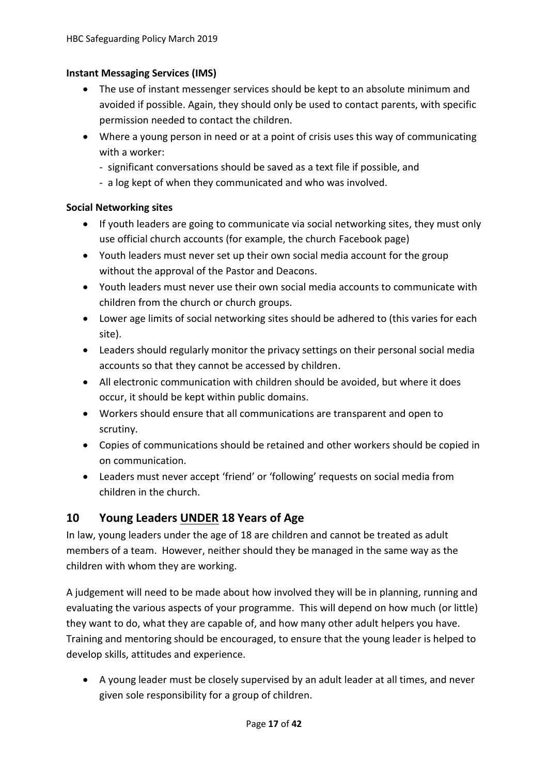### <span id="page-16-0"></span>**Instant Messaging Services (IMS)**

- The use of instant messenger services should be kept to an absolute minimum and avoided if possible. Again, they should only be used to contact parents, with specific permission needed to contact the children.
- Where a young person in need or at a point of crisis uses this way of communicating with a worker:
	- significant conversations should be saved as a text file if possible, and
	- a log kept of when they communicated and who was involved.

#### <span id="page-16-1"></span>**Social Networking sites**

- If youth leaders are going to communicate via social networking sites, they must only use official church accounts (for example, the church Facebook page)
- Youth leaders must never set up their own social media account for the group without the approval of the Pastor and Deacons.
- Youth leaders must never use their own social media accounts to communicate with children from the church or church groups.
- Lower age limits of social networking sites should be adhered to (this varies for each site).
- Leaders should regularly monitor the privacy settings on their personal social media accounts so that they cannot be accessed by children.
- All electronic communication with children should be avoided, but where it does occur, it should be kept within public domains.
- Workers should ensure that all communications are transparent and open to scrutiny.
- Copies of communications should be retained and other workers should be copied in on communication.
- Leaders must never accept 'friend' or 'following' requests on social media from children in the church.

## <span id="page-16-2"></span>**10 Young Leaders UNDER 18 Years of Age**

In law, young leaders under the age of 18 are children and cannot be treated as adult members of a team. However, neither should they be managed in the same way as the children with whom they are working.

A judgement will need to be made about how involved they will be in planning, running and evaluating the various aspects of your programme. This will depend on how much (or little) they want to do, what they are capable of, and how many other adult helpers you have. Training and mentoring should be encouraged, to ensure that the young leader is helped to develop skills, attitudes and experience.

• A young leader must be closely supervised by an adult leader at all times, and never given sole responsibility for a group of children.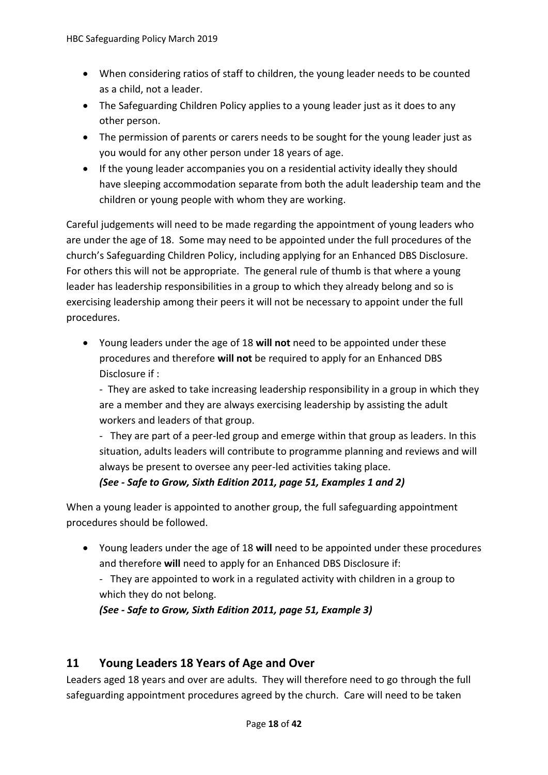- When considering ratios of staff to children, the young leader needs to be counted as a child, not a leader.
- The Safeguarding Children Policy applies to a young leader just as it does to any other person.
- The permission of parents or carers needs to be sought for the young leader just as you would for any other person under 18 years of age.
- If the young leader accompanies you on a residential activity ideally they should have sleeping accommodation separate from both the adult leadership team and the children or young people with whom they are working.

Careful judgements will need to be made regarding the appointment of young leaders who are under the age of 18. Some may need to be appointed under the full procedures of the church's Safeguarding Children Policy, including applying for an Enhanced DBS Disclosure. For others this will not be appropriate. The general rule of thumb is that where a young leader has leadership responsibilities in a group to which they already belong and so is exercising leadership among their peers it will not be necessary to appoint under the full procedures.

• Young leaders under the age of 18 **will not** need to be appointed under these procedures and therefore **will not** be required to apply for an Enhanced DBS Disclosure if :

- They are asked to take increasing leadership responsibility in a group in which they are a member and they are always exercising leadership by assisting the adult workers and leaders of that group.

- They are part of a peer-led group and emerge within that group as leaders. In this situation, adults leaders will contribute to programme planning and reviews and will always be present to oversee any peer-led activities taking place.

*(See - Safe to Grow, Sixth Edition 2011, page 51, Examples 1 and 2)*

When a young leader is appointed to another group, the full safeguarding appointment procedures should be followed.

• Young leaders under the age of 18 **will** need to be appointed under these procedures and therefore **will** need to apply for an Enhanced DBS Disclosure if:

- They are appointed to work in a regulated activity with children in a group to which they do not belong.

*(See - Safe to Grow, Sixth Edition 2011, page 51, Example 3)*

# <span id="page-17-0"></span>**11 Young Leaders 18 Years of Age and Over**

Leaders aged 18 years and over are adults. They will therefore need to go through the full safeguarding appointment procedures agreed by the church. Care will need to be taken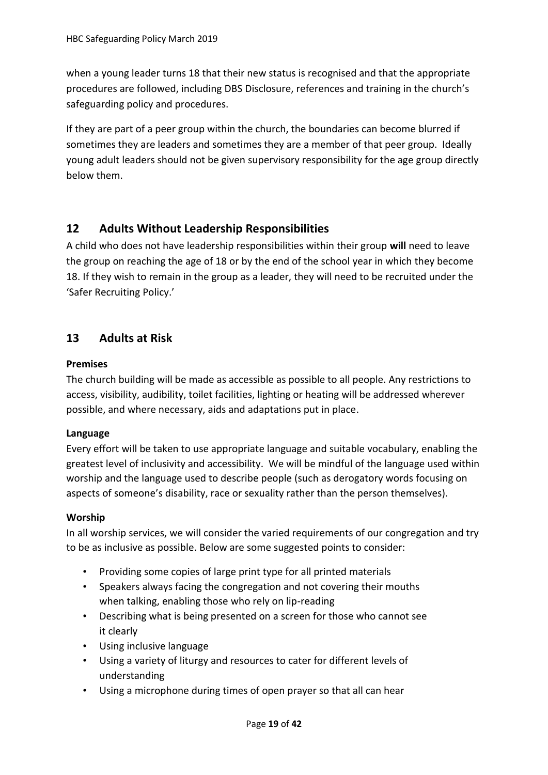when a young leader turns 18 that their new status is recognised and that the appropriate procedures are followed, including DBS Disclosure, references and training in the church's safeguarding policy and procedures.

If they are part of a peer group within the church, the boundaries can become blurred if sometimes they are leaders and sometimes they are a member of that peer group. Ideally young adult leaders should not be given supervisory responsibility for the age group directly below them.

# <span id="page-18-0"></span>**12 Adults Without Leadership Responsibilities**

A child who does not have leadership responsibilities within their group **will** need to leave the group on reaching the age of 18 or by the end of the school year in which they become 18. If they wish to remain in the group as a leader, they will need to be recruited under the 'Safer Recruiting Policy.'

## <span id="page-18-1"></span>**13 Adults at Risk**

### <span id="page-18-2"></span>**Premises**

The church building will be made as accessible as possible to all people. Any restrictions to access, visibility, audibility, toilet facilities, lighting or heating will be addressed wherever possible, and where necessary, aids and adaptations put in place.

### <span id="page-18-3"></span>**Language**

Every effort will be taken to use appropriate language and suitable vocabulary, enabling the greatest level of inclusivity and accessibility. We will be mindful of the language used within worship and the language used to describe people (such as derogatory words focusing on aspects of someone's disability, race or sexuality rather than the person themselves).

#### <span id="page-18-4"></span>**Worship**

In all worship services, we will consider the varied requirements of our congregation and try to be as inclusive as possible. Below are some suggested points to consider:

- Providing some copies of large print type for all printed materials
- Speakers always facing the congregation and not covering their mouths when talking, enabling those who rely on lip-reading
- Describing what is being presented on a screen for those who cannot see it clearly
- Using inclusive language
- Using a variety of liturgy and resources to cater for different levels of understanding
- Using a microphone during times of open prayer so that all can hear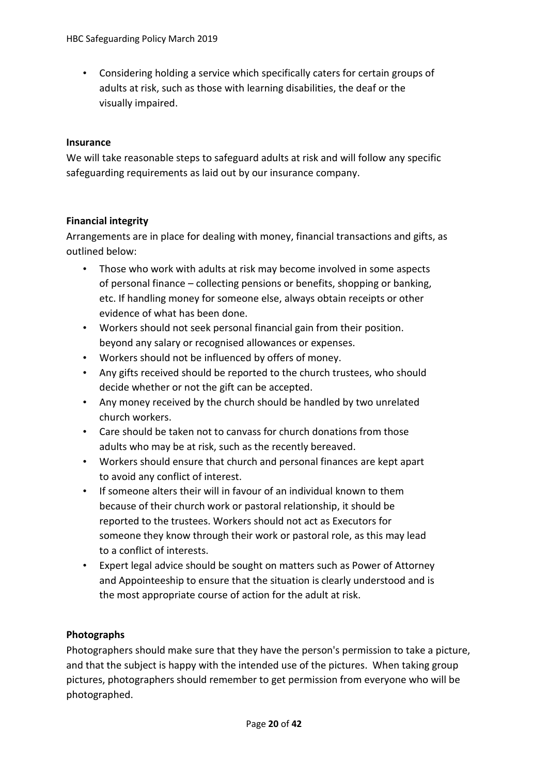• Considering holding a service which specifically caters for certain groups of adults at risk, such as those with learning disabilities, the deaf or the visually impaired.

#### <span id="page-19-0"></span>**Insurance**

We will take reasonable steps to safeguard adults at risk and will follow any specific safeguarding requirements as laid out by our insurance company.

### <span id="page-19-1"></span>**Financial integrity**

Arrangements are in place for dealing with money, financial transactions and gifts, as outlined below:

- Those who work with adults at risk may become involved in some aspects of personal finance – collecting pensions or benefits, shopping or banking, etc. If handling money for someone else, always obtain receipts or other evidence of what has been done.
- Workers should not seek personal financial gain from their position. beyond any salary or recognised allowances or expenses.
- Workers should not be influenced by offers of money.
- Any gifts received should be reported to the church trustees, who should decide whether or not the gift can be accepted.
- Any money received by the church should be handled by two unrelated church workers.
- Care should be taken not to canvass for church donations from those adults who may be at risk, such as the recently bereaved.
- Workers should ensure that church and personal finances are kept apart to avoid any conflict of interest.
- If someone alters their will in favour of an individual known to them because of their church work or pastoral relationship, it should be reported to the trustees. Workers should not act as Executors for someone they know through their work or pastoral role, as this may lead to a conflict of interests.
- Expert legal advice should be sought on matters such as Power of Attorney and Appointeeship to ensure that the situation is clearly understood and is the most appropriate course of action for the adult at risk.

### <span id="page-19-2"></span>**Photographs**

Photographers should make sure that they have the person's permission to take a picture, and that the subject is happy with the intended use of the pictures. When taking group pictures, photographers should remember to get permission from everyone who will be photographed.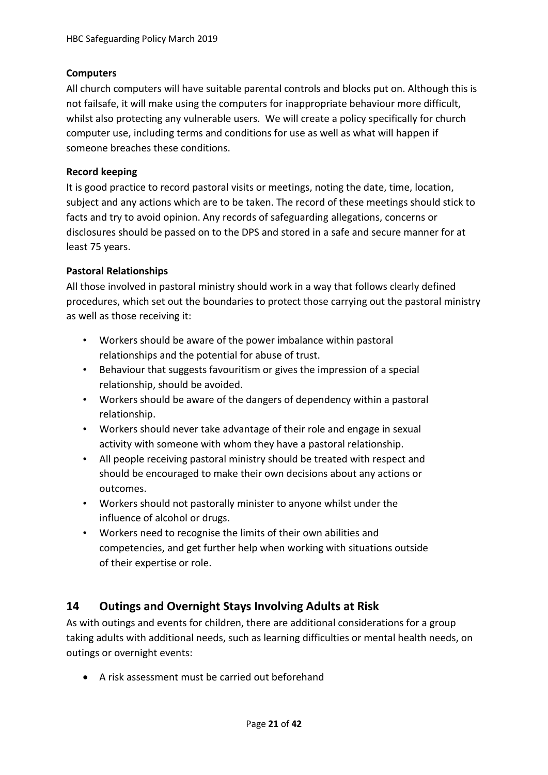## <span id="page-20-0"></span>**Computers**

All church computers will have suitable parental controls and blocks put on. Although this is not failsafe, it will make using the computers for inappropriate behaviour more difficult, whilst also protecting any vulnerable users. We will create a policy specifically for church computer use, including terms and conditions for use as well as what will happen if someone breaches these conditions.

### <span id="page-20-1"></span>**Record keeping**

It is good practice to record pastoral visits or meetings, noting the date, time, location, subject and any actions which are to be taken. The record of these meetings should stick to facts and try to avoid opinion. Any records of safeguarding allegations, concerns or disclosures should be passed on to the DPS and stored in a safe and secure manner for at least 75 years.

### <span id="page-20-2"></span>**Pastoral Relationships**

All those involved in pastoral ministry should work in a way that follows clearly defined procedures, which set out the boundaries to protect those carrying out the pastoral ministry as well as those receiving it:

- Workers should be aware of the power imbalance within pastoral relationships and the potential for abuse of trust.
- Behaviour that suggests favouritism or gives the impression of a special relationship, should be avoided.
- Workers should be aware of the dangers of dependency within a pastoral relationship.
- Workers should never take advantage of their role and engage in sexual activity with someone with whom they have a pastoral relationship.
- All people receiving pastoral ministry should be treated with respect and should be encouraged to make their own decisions about any actions or outcomes.
- Workers should not pastorally minister to anyone whilst under the influence of alcohol or drugs.
- Workers need to recognise the limits of their own abilities and competencies, and get further help when working with situations outside of their expertise or role.

# <span id="page-20-3"></span>**14 Outings and Overnight Stays Involving Adults at Risk**

As with outings and events for children, there are additional considerations for a group taking adults with additional needs, such as learning difficulties or mental health needs, on outings or overnight events:

• A risk assessment must be carried out beforehand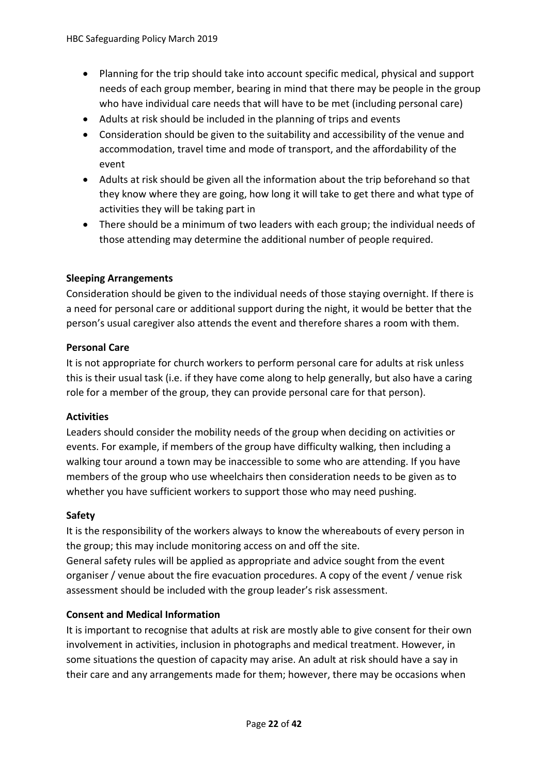- Planning for the trip should take into account specific medical, physical and support needs of each group member, bearing in mind that there may be people in the group who have individual care needs that will have to be met (including personal care)
- Adults at risk should be included in the planning of trips and events
- Consideration should be given to the suitability and accessibility of the venue and accommodation, travel time and mode of transport, and the affordability of the event
- Adults at risk should be given all the information about the trip beforehand so that they know where they are going, how long it will take to get there and what type of activities they will be taking part in
- There should be a minimum of two leaders with each group; the individual needs of those attending may determine the additional number of people required.

### <span id="page-21-0"></span>**Sleeping Arrangements**

Consideration should be given to the individual needs of those staying overnight. If there is a need for personal care or additional support during the night, it would be better that the person's usual caregiver also attends the event and therefore shares a room with them.

## <span id="page-21-1"></span>**Personal Care**

It is not appropriate for church workers to perform personal care for adults at risk unless this is their usual task (i.e. if they have come along to help generally, but also have a caring role for a member of the group, they can provide personal care for that person).

### <span id="page-21-2"></span>**Activities**

Leaders should consider the mobility needs of the group when deciding on activities or events. For example, if members of the group have difficulty walking, then including a walking tour around a town may be inaccessible to some who are attending. If you have members of the group who use wheelchairs then consideration needs to be given as to whether you have sufficient workers to support those who may need pushing.

### <span id="page-21-3"></span>**Safety**

It is the responsibility of the workers always to know the whereabouts of every person in the group; this may include monitoring access on and off the site.

General safety rules will be applied as appropriate and advice sought from the event organiser / venue about the fire evacuation procedures. A copy of the event / venue risk assessment should be included with the group leader's risk assessment.

### <span id="page-21-4"></span>**Consent and Medical Information**

It is important to recognise that adults at risk are mostly able to give consent for their own involvement in activities, inclusion in photographs and medical treatment. However, in some situations the question of capacity may arise. An adult at risk should have a say in their care and any arrangements made for them; however, there may be occasions when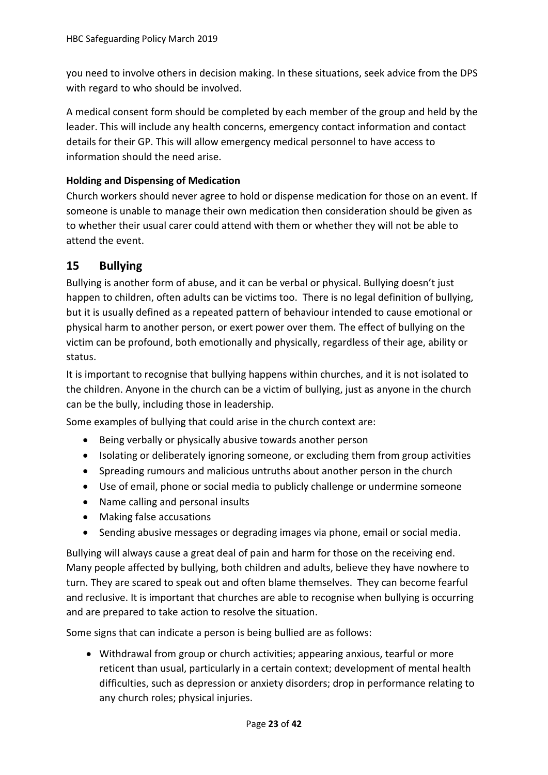you need to involve others in decision making. In these situations, seek advice from the DPS with regard to who should be involved.

A medical consent form should be completed by each member of the group and held by the leader. This will include any health concerns, emergency contact information and contact details for their GP. This will allow emergency medical personnel to have access to information should the need arise.

### <span id="page-22-0"></span>**Holding and Dispensing of Medication**

Church workers should never agree to hold or dispense medication for those on an event. If someone is unable to manage their own medication then consideration should be given as to whether their usual carer could attend with them or whether they will not be able to attend the event.

## <span id="page-22-1"></span>**15 Bullying**

Bullying is another form of abuse, and it can be verbal or physical. Bullying doesn't just happen to children, often adults can be victims too. There is no legal definition of bullying, but it is usually defined as a repeated pattern of behaviour intended to cause emotional or physical harm to another person, or exert power over them. The effect of bullying on the victim can be profound, both emotionally and physically, regardless of their age, ability or status.

It is important to recognise that bullying happens within churches, and it is not isolated to the children. Anyone in the church can be a victim of bullying, just as anyone in the church can be the bully, including those in leadership.

Some examples of bullying that could arise in the church context are:

- Being verbally or physically abusive towards another person
- Isolating or deliberately ignoring someone, or excluding them from group activities
- Spreading rumours and malicious untruths about another person in the church
- Use of email, phone or social media to publicly challenge or undermine someone
- Name calling and personal insults
- Making false accusations
- Sending abusive messages or degrading images via phone, email or social media.

Bullying will always cause a great deal of pain and harm for those on the receiving end. Many people affected by bullying, both children and adults, believe they have nowhere to turn. They are scared to speak out and often blame themselves. They can become fearful and reclusive. It is important that churches are able to recognise when bullying is occurring and are prepared to take action to resolve the situation.

Some signs that can indicate a person is being bullied are as follows:

• Withdrawal from group or church activities; appearing anxious, tearful or more reticent than usual, particularly in a certain context; development of mental health difficulties, such as depression or anxiety disorders; drop in performance relating to any church roles; physical injuries.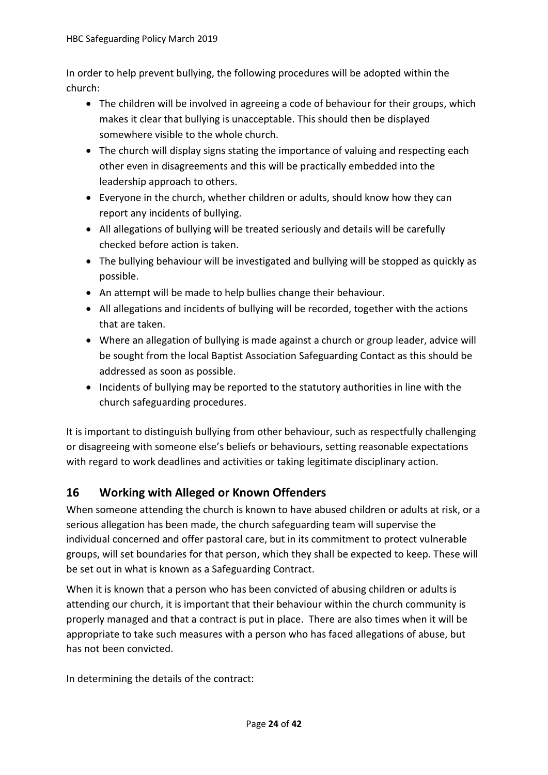In order to help prevent bullying, the following procedures will be adopted within the church:

- The children will be involved in agreeing a code of behaviour for their groups, which makes it clear that bullying is unacceptable. This should then be displayed somewhere visible to the whole church.
- The church will display signs stating the importance of valuing and respecting each other even in disagreements and this will be practically embedded into the leadership approach to others.
- Everyone in the church, whether children or adults, should know how they can report any incidents of bullying.
- All allegations of bullying will be treated seriously and details will be carefully checked before action is taken.
- The bullying behaviour will be investigated and bullying will be stopped as quickly as possible.
- An attempt will be made to help bullies change their behaviour.
- All allegations and incidents of bullying will be recorded, together with the actions that are taken.
- Where an allegation of bullying is made against a church or group leader, advice will be sought from the local Baptist Association Safeguarding Contact as this should be addressed as soon as possible.
- Incidents of bullying may be reported to the statutory authorities in line with the church safeguarding procedures.

It is important to distinguish bullying from other behaviour, such as respectfully challenging or disagreeing with someone else's beliefs or behaviours, setting reasonable expectations with regard to work deadlines and activities or taking legitimate disciplinary action.

# <span id="page-23-0"></span>**16 Working with Alleged or Known Offenders**

When someone attending the church is known to have abused children or adults at risk, or a serious allegation has been made, the church safeguarding team will supervise the individual concerned and offer pastoral care, but in its commitment to protect vulnerable groups, will set boundaries for that person, which they shall be expected to keep. These will be set out in what is known as a Safeguarding Contract.

When it is known that a person who has been convicted of abusing children or adults is attending our church, it is important that their behaviour within the church community is properly managed and that a contract is put in place. There are also times when it will be appropriate to take such measures with a person who has faced allegations of abuse, but has not been convicted.

In determining the details of the contract: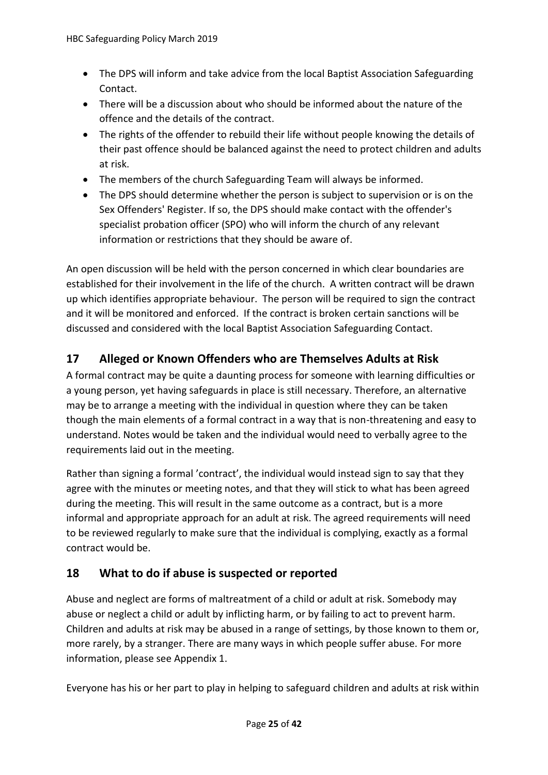- The DPS will inform and take advice from the local Baptist Association Safeguarding Contact.
- There will be a discussion about who should be informed about the nature of the offence and the details of the contract.
- The rights of the offender to rebuild their life without people knowing the details of their past offence should be balanced against the need to protect children and adults at risk.
- The members of the church Safeguarding Team will always be informed.
- The DPS should determine whether the person is subject to supervision or is on the Sex Offenders' Register. If so, the DPS should make contact with the offender's specialist probation officer (SPO) who will inform the church of any relevant information or restrictions that they should be aware of.

An open discussion will be held with the person concerned in which clear boundaries are established for their involvement in the life of the church. A written contract will be drawn up which identifies appropriate behaviour. The person will be required to sign the contract and it will be monitored and enforced. If the contract is broken certain sanctions will be discussed and considered with the local Baptist Association Safeguarding Contact.

# <span id="page-24-0"></span>**17 Alleged or Known Offenders who are Themselves Adults at Risk**

A formal contract may be quite a daunting process for someone with learning difficulties or a young person, yet having safeguards in place is still necessary. Therefore, an alternative may be to arrange a meeting with the individual in question where they can be taken though the main elements of a formal contract in a way that is non-threatening and easy to understand. Notes would be taken and the individual would need to verbally agree to the requirements laid out in the meeting.

Rather than signing a formal 'contract', the individual would instead sign to say that they agree with the minutes or meeting notes, and that they will stick to what has been agreed during the meeting. This will result in the same outcome as a contract, but is a more informal and appropriate approach for an adult at risk. The agreed requirements will need to be reviewed regularly to make sure that the individual is complying, exactly as a formal contract would be.

# **18 What to do if abuse is suspected or reported**

Abuse and neglect are forms of maltreatment of a child or adult at risk. Somebody may abuse or neglect a child or adult by inflicting harm, or by failing to act to prevent harm. Children and adults at risk may be abused in a range of settings, by those known to them or, more rarely, by a stranger. There are many ways in which people suffer abuse. For more information, please see Appendix 1.

Everyone has his or her part to play in helping to safeguard children and adults at risk within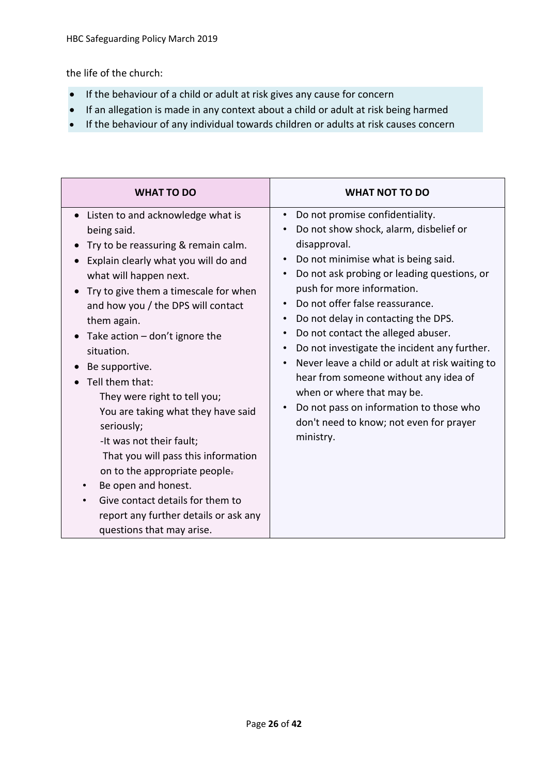the life of the church:

- If the behaviour of a child or adult at risk gives any cause for concern
- If an allegation is made in any context about a child or adult at risk being harmed
- If the behaviour of any individual towards children or adults at risk causes concern

| <b>WHAT TO DO</b>                                                                                                                                                                                                                                                                                                                                                                                                                                                                                                                                                                                                                                                                    | <b>WHAT NOT TO DO</b>                                                                                                                                                                                                                                                                                                                                                                                                                                                                                                                                                                                                                                                                                              |
|--------------------------------------------------------------------------------------------------------------------------------------------------------------------------------------------------------------------------------------------------------------------------------------------------------------------------------------------------------------------------------------------------------------------------------------------------------------------------------------------------------------------------------------------------------------------------------------------------------------------------------------------------------------------------------------|--------------------------------------------------------------------------------------------------------------------------------------------------------------------------------------------------------------------------------------------------------------------------------------------------------------------------------------------------------------------------------------------------------------------------------------------------------------------------------------------------------------------------------------------------------------------------------------------------------------------------------------------------------------------------------------------------------------------|
| Listen to and acknowledge what is<br>$\bullet$<br>being said.<br>Try to be reassuring & remain calm.<br>Explain clearly what you will do and<br>what will happen next.<br>Try to give them a timescale for when<br>and how you / the DPS will contact<br>them again.<br>Take action $-$ don't ignore the<br>situation.<br>Be supportive.<br>Tell them that:<br>They were right to tell you;<br>You are taking what they have said<br>seriously;<br>-It was not their fault;<br>That you will pass this information<br>on to the appropriate people-<br>Be open and honest.<br>Give contact details for them to<br>report any further details or ask any<br>questions that may arise. | Do not promise confidentiality.<br>$\bullet$<br>Do not show shock, alarm, disbelief or<br>disapproval.<br>Do not minimise what is being said.<br>Do not ask probing or leading questions, or<br>$\bullet$<br>push for more information.<br>Do not offer false reassurance.<br>$\bullet$<br>Do not delay in contacting the DPS.<br>$\bullet$<br>Do not contact the alleged abuser.<br>$\bullet$<br>Do not investigate the incident any further.<br>$\bullet$<br>Never leave a child or adult at risk waiting to<br>$\bullet$<br>hear from someone without any idea of<br>when or where that may be.<br>Do not pass on information to those who<br>$\bullet$<br>don't need to know; not even for prayer<br>ministry. |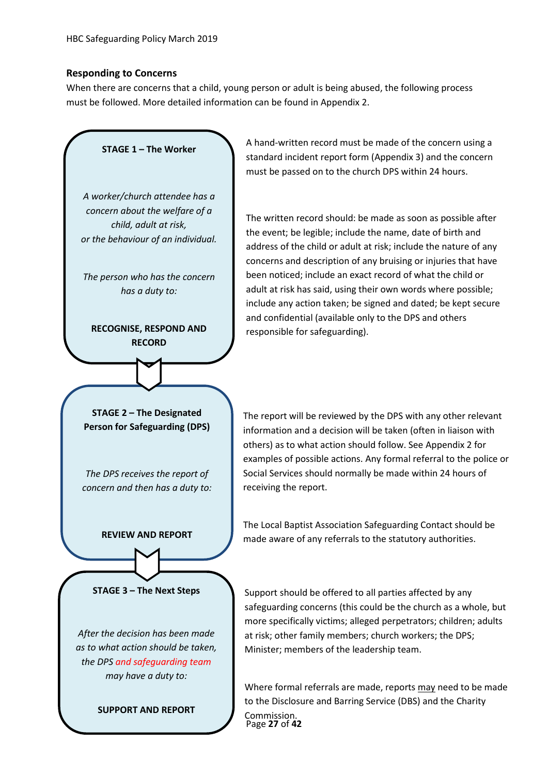#### <span id="page-26-0"></span>**Responding to Concerns**

When there are concerns that a child, young person or adult is being abused, the following process must be followed. More detailed information can be found in Appendix 2.



*A worker/church attendee has a concern about the welfare of a child, adult at risk, or the behaviour of an individual.*

*The person who has the concern has a duty to:*

**RECOGNISE, RESPOND AND RECORD**

A hand-written record must be made of the concern using a standard incident report form (Appendix 3) and the concern must be passed on to the church DPS within 24 hours.

The written record should: be made as soon as possible after the event; be legible; include the name, date of birth and address of the child or adult at risk; include the nature of any concerns and description of any bruising or injuries that have been noticed; include an exact record of what the child or adult at risk has said, using their own words where possible; include any action taken; be signed and dated; be kept secure and confidential (available only to the DPS and others responsible for safeguarding).

**STAGE 2 – The Designated Person for Safeguarding (DPS)**

*The DPS receives the report of concern and then has a duty to:*

#### **REVIEW AND REPORT**

information and a decision will be taken (often in liaison with others) as to what action should follow. See Appendix 2 for examples of possible actions. Any formal referral to the police or Social Services should normally be made within 24 hours of receiving the report.

The report will be reviewed by the DPS with any other relevant

The Local Baptist Association Safeguarding Contact should be made aware of any referrals to the statutory authorities.

**STAGE 3 – The Next Steps**

*After the decision has been made as to what action should be taken, the DPS and safeguarding team may have a duty to:*

**SUPPORT AND REPORT**

Support should be offered to all parties affected by any safeguarding concerns (this could be the church as a whole, but more specifically victims; alleged perpetrators; children; adults at risk; other family members; church workers; the DPS; Minister; members of the leadership team.

Page **27** of **42** Where formal referrals are made, reports may need to be made to the Disclosure and Barring Service (DBS) and the Charity Commission.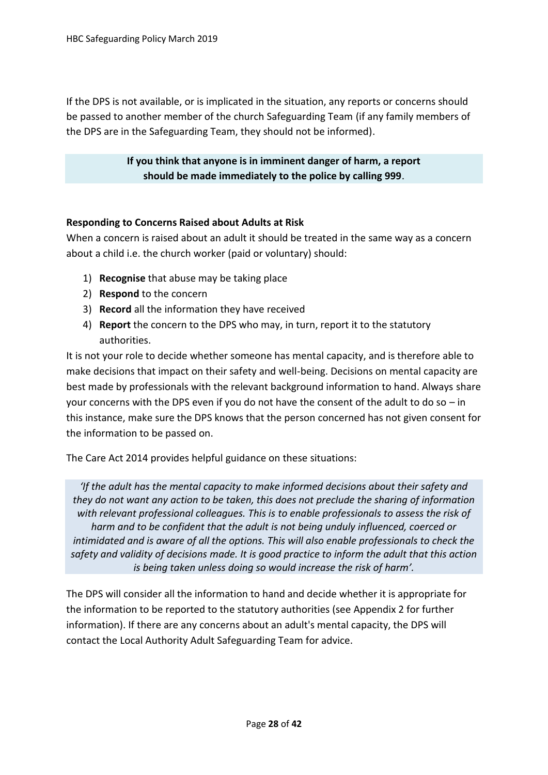If the DPS is not available, or is implicated in the situation, any reports or concerns should be passed to another member of the church Safeguarding Team (if any family members of the DPS are in the Safeguarding Team, they should not be informed).

## **If you think that anyone is in imminent danger of harm, a report should be made immediately to the police by calling 999**.

### <span id="page-27-0"></span>**Responding to Concerns Raised about Adults at Risk**

When a concern is raised about an adult it should be treated in the same way as a concern about a child i.e. the church worker (paid or voluntary) should:

- 1) **Recognise** that abuse may be taking place
- 2) **Respond** to the concern
- 3) **Record** all the information they have received
- 4) **Report** the concern to the DPS who may, in turn, report it to the statutory authorities.

It is not your role to decide whether someone has mental capacity, and is therefore able to make decisions that impact on their safety and well-being. Decisions on mental capacity are best made by professionals with the relevant background information to hand. Always share your concerns with the DPS even if you do not have the consent of the adult to do so – in this instance, make sure the DPS knows that the person concerned has not given consent for the information to be passed on.

The Care Act 2014 provides helpful guidance on these situations:

*'If the adult has the mental capacity to make informed decisions about their safety and they do not want any action to be taken, this does not preclude the sharing of information with relevant professional colleagues. This is to enable professionals to assess the risk of harm and to be confident that the adult is not being unduly influenced, coerced or intimidated and is aware of all the options. This will also enable professionals to check the safety and validity of decisions made. It is good practice to inform the adult that this action is being taken unless doing so would increase the risk of harm'.*

The DPS will consider all the information to hand and decide whether it is appropriate for the information to be reported to the statutory authorities (see Appendix 2 for further information). If there are any concerns about an adult's mental capacity, the DPS will contact the Local Authority Adult Safeguarding Team for advice.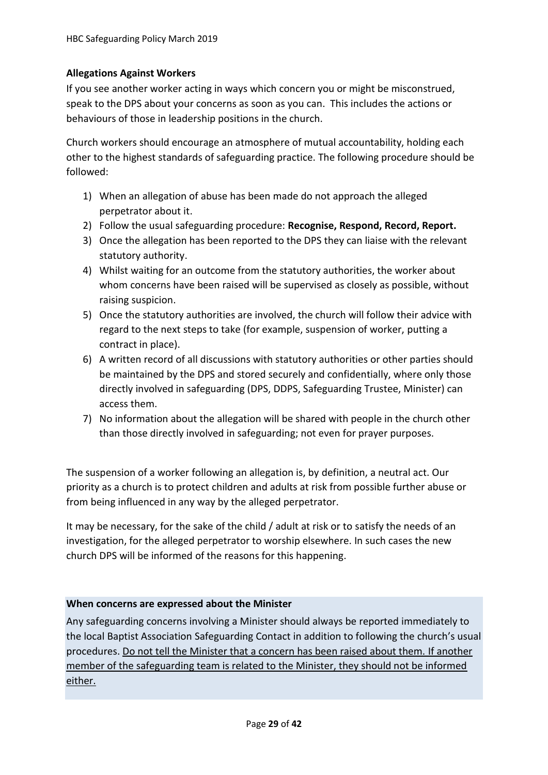### <span id="page-28-0"></span>**Allegations Against Workers**

If you see another worker acting in ways which concern you or might be misconstrued, speak to the DPS about your concerns as soon as you can. This includes the actions or behaviours of those in leadership positions in the church.

Church workers should encourage an atmosphere of mutual accountability, holding each other to the highest standards of safeguarding practice. The following procedure should be followed:

- 1) When an allegation of abuse has been made do not approach the alleged perpetrator about it.
- 2) Follow the usual safeguarding procedure: **Recognise, Respond, Record, Report.**
- 3) Once the allegation has been reported to the DPS they can liaise with the relevant statutory authority.
- 4) Whilst waiting for an outcome from the statutory authorities, the worker about whom concerns have been raised will be supervised as closely as possible, without raising suspicion.
- 5) Once the statutory authorities are involved, the church will follow their advice with regard to the next steps to take (for example, suspension of worker, putting a contract in place).
- 6) A written record of all discussions with statutory authorities or other parties should be maintained by the DPS and stored securely and confidentially, where only those directly involved in safeguarding (DPS, DDPS, Safeguarding Trustee, Minister) can access them.
- 7) No information about the allegation will be shared with people in the church other than those directly involved in safeguarding; not even for prayer purposes.

The suspension of a worker following an allegation is, by definition, a neutral act. Our priority as a church is to protect children and adults at risk from possible further abuse or from being influenced in any way by the alleged perpetrator.

It may be necessary, for the sake of the child / adult at risk or to satisfy the needs of an investigation, for the alleged perpetrator to worship elsewhere. In such cases the new church DPS will be informed of the reasons for this happening.

### **When concerns are expressed about the Minister**

Any safeguarding concerns involving a Minister should always be reported immediately to the local Baptist Association Safeguarding Contact in addition to following the church's usual procedures. Do not tell the Minister that a concern has been raised about them. If another member of the safeguarding team is related to the Minister, they should not be informed either.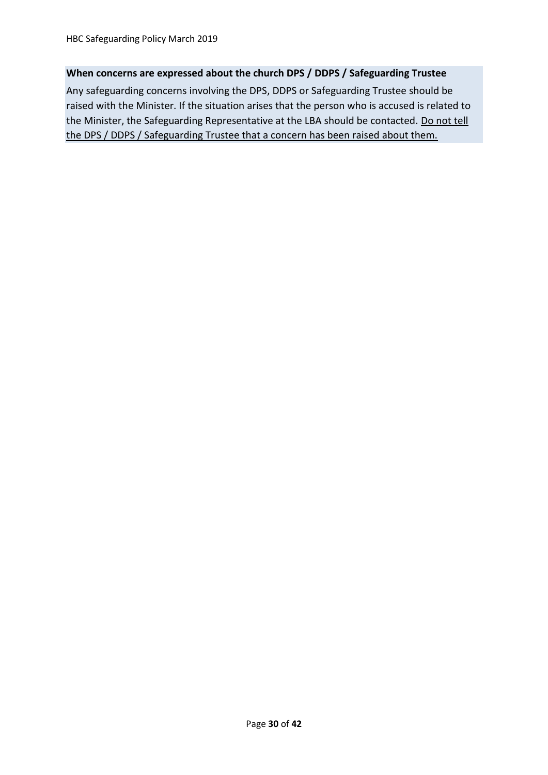#### **When concerns are expressed about the church DPS / DDPS / Safeguarding Trustee**

Any safeguarding concerns involving the DPS, DDPS or Safeguarding Trustee should be raised with the Minister. If the situation arises that the person who is accused is related to the Minister, the Safeguarding Representative at the LBA should be contacted. Do not tell the DPS / DDPS / Safeguarding Trustee that a concern has been raised about them.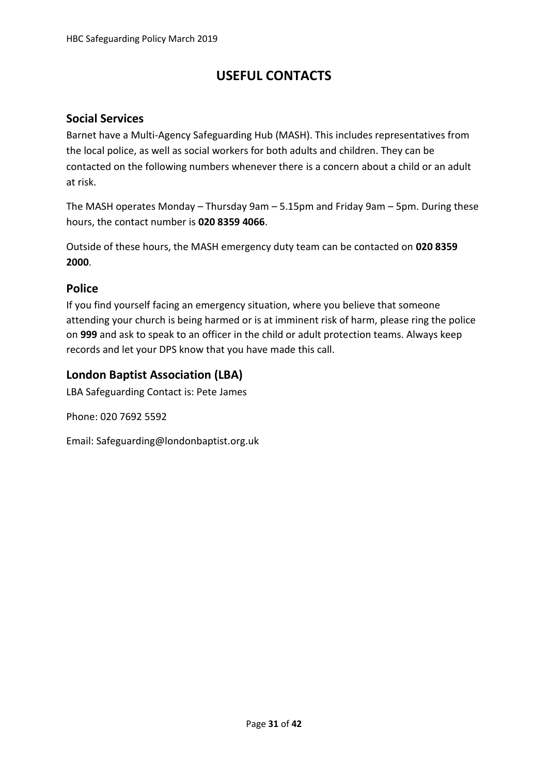# **USEFUL CONTACTS**

## <span id="page-30-1"></span><span id="page-30-0"></span>**Social Services**

Barnet have a Multi-Agency Safeguarding Hub (MASH). This includes representatives from the local police, as well as social workers for both adults and children. They can be contacted on the following numbers whenever there is a concern about a child or an adult at risk.

The MASH operates Monday – Thursday 9am – 5.15pm and Friday 9am – 5pm. During these hours, the contact number is **020 8359 4066**.

Outside of these hours, the MASH emergency duty team can be contacted on **020 8359 2000**.

## <span id="page-30-2"></span>**Police**

If you find yourself facing an emergency situation, where you believe that someone attending your church is being harmed or is at imminent risk of harm, please ring the police on **999** and ask to speak to an officer in the child or adult protection teams. Always keep records and let your DPS know that you have made this call.

# <span id="page-30-3"></span>**London Baptist Association (LBA)**

LBA Safeguarding Contact is: Pete James

Phone: 020 7692 5592

Email: Safeguarding@londonbaptist.org.uk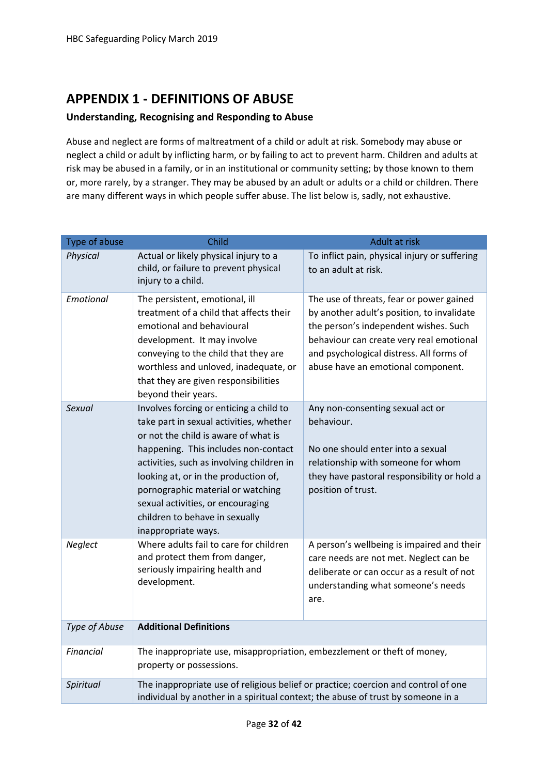# <span id="page-31-0"></span>**APPENDIX 1 - DEFINITIONS OF ABUSE**

#### **Understanding, Recognising and Responding to Abuse**

Abuse and neglect are forms of maltreatment of a child or adult at risk. Somebody may abuse or neglect a child or adult by inflicting harm, or by failing to act to prevent harm. Children and adults at risk may be abused in a family, or in an institutional or community setting; by those known to them or, more rarely, by a stranger. They may be abused by an adult or adults or a child or children. There are many different ways in which people suffer abuse. The list below is, sadly, not exhaustive.

| Type of abuse    | Child                                                                                                                                                                                                                                                                                                                                                                                      | Adult at risk                                                                                                                                                                                                                                                 |
|------------------|--------------------------------------------------------------------------------------------------------------------------------------------------------------------------------------------------------------------------------------------------------------------------------------------------------------------------------------------------------------------------------------------|---------------------------------------------------------------------------------------------------------------------------------------------------------------------------------------------------------------------------------------------------------------|
| Physical         | Actual or likely physical injury to a<br>child, or failure to prevent physical<br>injury to a child.                                                                                                                                                                                                                                                                                       | To inflict pain, physical injury or suffering<br>to an adult at risk.                                                                                                                                                                                         |
| Emotional        | The persistent, emotional, ill<br>treatment of a child that affects their<br>emotional and behavioural<br>development. It may involve<br>conveying to the child that they are<br>worthless and unloved, inadequate, or<br>that they are given responsibilities<br>beyond their years.                                                                                                      | The use of threats, fear or power gained<br>by another adult's position, to invalidate<br>the person's independent wishes. Such<br>behaviour can create very real emotional<br>and psychological distress. All forms of<br>abuse have an emotional component. |
| <b>Sexual</b>    | Involves forcing or enticing a child to<br>take part in sexual activities, whether<br>or not the child is aware of what is<br>happening. This includes non-contact<br>activities, such as involving children in<br>looking at, or in the production of,<br>pornographic material or watching<br>sexual activities, or encouraging<br>children to behave in sexually<br>inappropriate ways. | Any non-consenting sexual act or<br>behaviour.<br>No one should enter into a sexual<br>relationship with someone for whom<br>they have pastoral responsibility or hold a<br>position of trust.                                                                |
| Neglect          | Where adults fail to care for children<br>and protect them from danger,<br>seriously impairing health and<br>development.                                                                                                                                                                                                                                                                  | A person's wellbeing is impaired and their<br>care needs are not met. Neglect can be<br>deliberate or can occur as a result of not<br>understanding what someone's needs<br>are.                                                                              |
| Type of Abuse    | <b>Additional Definitions</b>                                                                                                                                                                                                                                                                                                                                                              |                                                                                                                                                                                                                                                               |
| <b>Financial</b> | The inappropriate use, misappropriation, embezzlement or theft of money,<br>property or possessions.                                                                                                                                                                                                                                                                                       |                                                                                                                                                                                                                                                               |
| Spiritual        | The inappropriate use of religious belief or practice; coercion and control of one<br>individual by another in a spiritual context; the abuse of trust by someone in a                                                                                                                                                                                                                     |                                                                                                                                                                                                                                                               |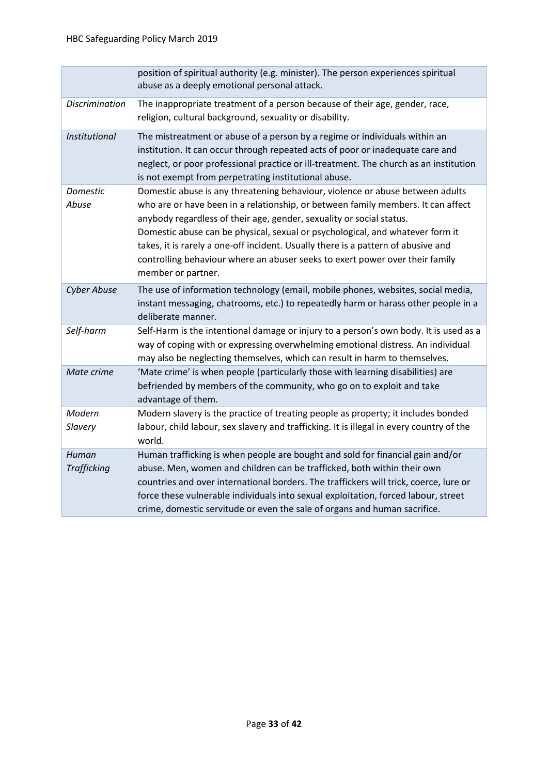|                             | position of spiritual authority (e.g. minister). The person experiences spiritual<br>abuse as a deeply emotional personal attack.                                                                                                                                                                                                                                                                                                                                                                                     |
|-----------------------------|-----------------------------------------------------------------------------------------------------------------------------------------------------------------------------------------------------------------------------------------------------------------------------------------------------------------------------------------------------------------------------------------------------------------------------------------------------------------------------------------------------------------------|
| <b>Discrimination</b>       | The inappropriate treatment of a person because of their age, gender, race,<br>religion, cultural background, sexuality or disability.                                                                                                                                                                                                                                                                                                                                                                                |
| Institutional               | The mistreatment or abuse of a person by a regime or individuals within an<br>institution. It can occur through repeated acts of poor or inadequate care and<br>neglect, or poor professional practice or ill-treatment. The church as an institution<br>is not exempt from perpetrating institutional abuse.                                                                                                                                                                                                         |
| Domestic<br>Abuse           | Domestic abuse is any threatening behaviour, violence or abuse between adults<br>who are or have been in a relationship, or between family members. It can affect<br>anybody regardless of their age, gender, sexuality or social status.<br>Domestic abuse can be physical, sexual or psychological, and whatever form it<br>takes, it is rarely a one-off incident. Usually there is a pattern of abusive and<br>controlling behaviour where an abuser seeks to exert power over their family<br>member or partner. |
| <b>Cyber Abuse</b>          | The use of information technology (email, mobile phones, websites, social media,<br>instant messaging, chatrooms, etc.) to repeatedly harm or harass other people in a<br>deliberate manner.                                                                                                                                                                                                                                                                                                                          |
| Self-harm                   | Self-Harm is the intentional damage or injury to a person's own body. It is used as a<br>way of coping with or expressing overwhelming emotional distress. An individual<br>may also be neglecting themselves, which can result in harm to themselves.                                                                                                                                                                                                                                                                |
| Mate crime                  | 'Mate crime' is when people (particularly those with learning disabilities) are<br>befriended by members of the community, who go on to exploit and take<br>advantage of them.                                                                                                                                                                                                                                                                                                                                        |
| Modern<br>Slavery           | Modern slavery is the practice of treating people as property; it includes bonded<br>labour, child labour, sex slavery and trafficking. It is illegal in every country of the<br>world.                                                                                                                                                                                                                                                                                                                               |
| Human<br><b>Trafficking</b> | Human trafficking is when people are bought and sold for financial gain and/or<br>abuse. Men, women and children can be trafficked, both within their own<br>countries and over international borders. The traffickers will trick, coerce, lure or<br>force these vulnerable individuals into sexual exploitation, forced labour, street<br>crime, domestic servitude or even the sale of organs and human sacrifice.                                                                                                 |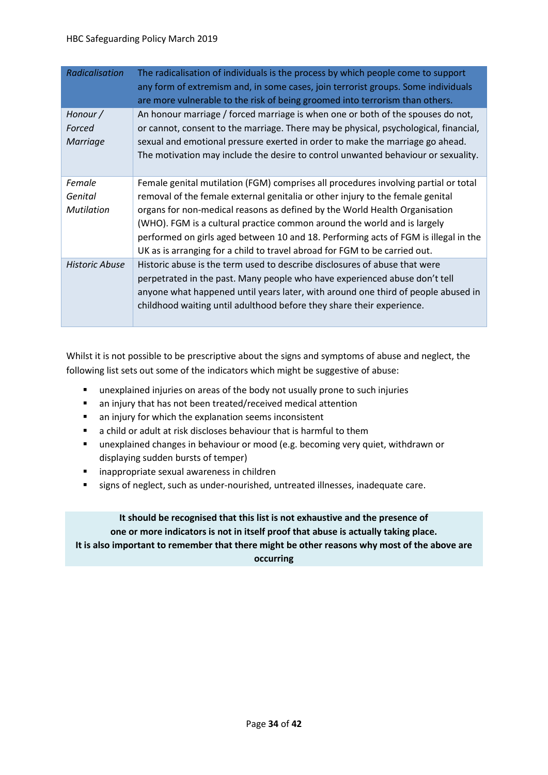| Radicalisation                         | The radicalisation of individuals is the process by which people come to support<br>any form of extremism and, in some cases, join terrorist groups. Some individuals<br>are more vulnerable to the risk of being groomed into terrorism than others.                                                                                                                                                                                                                                                |
|----------------------------------------|------------------------------------------------------------------------------------------------------------------------------------------------------------------------------------------------------------------------------------------------------------------------------------------------------------------------------------------------------------------------------------------------------------------------------------------------------------------------------------------------------|
| Honour /<br>Forced<br>Marriage         | An honour marriage / forced marriage is when one or both of the spouses do not,<br>or cannot, consent to the marriage. There may be physical, psychological, financial,<br>sexual and emotional pressure exerted in order to make the marriage go ahead.<br>The motivation may include the desire to control unwanted behaviour or sexuality.                                                                                                                                                        |
| Female<br>Genital<br><b>Mutilation</b> | Female genital mutilation (FGM) comprises all procedures involving partial or total<br>removal of the female external genitalia or other injury to the female genital<br>organs for non-medical reasons as defined by the World Health Organisation<br>(WHO). FGM is a cultural practice common around the world and is largely<br>performed on girls aged between 10 and 18. Performing acts of FGM is illegal in the<br>UK as is arranging for a child to travel abroad for FGM to be carried out. |
| <b>Historic Abuse</b>                  | Historic abuse is the term used to describe disclosures of abuse that were<br>perpetrated in the past. Many people who have experienced abuse don't tell<br>anyone what happened until years later, with around one third of people abused in<br>childhood waiting until adulthood before they share their experience.                                                                                                                                                                               |

Whilst it is not possible to be prescriptive about the signs and symptoms of abuse and neglect, the following list sets out some of the indicators which might be suggestive of abuse:

- unexplained injuries on areas of the body not usually prone to such injuries
- an injury that has not been treated/received medical attention
- an injury for which the explanation seems inconsistent
- a child or adult at risk discloses behaviour that is harmful to them
- unexplained changes in behaviour or mood (e.g. becoming very quiet, withdrawn or displaying sudden bursts of temper)
- inappropriate sexual awareness in children
- signs of neglect, such as under-nourished, untreated illnesses, inadequate care.

### **It should be recognised that this list is not exhaustive and the presence of one or more indicators is not in itself proof that abuse is actually taking place. It is also important to remember that there might be other reasons why most of the above are occurring**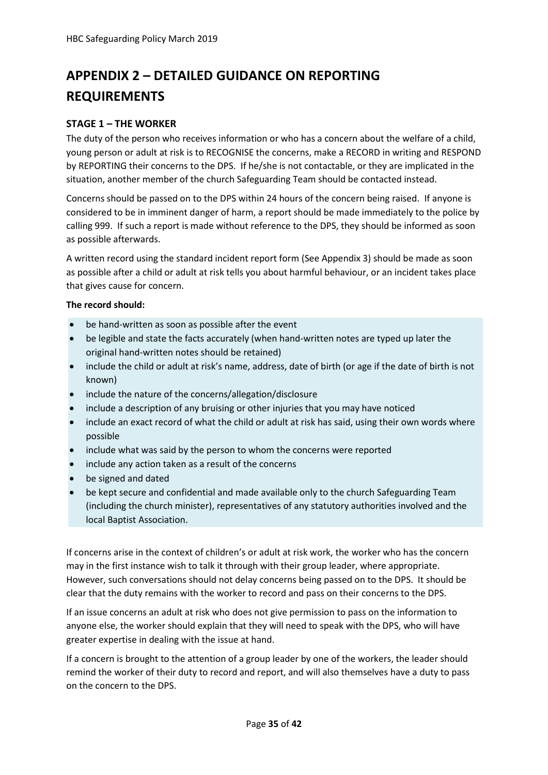# <span id="page-34-0"></span>**APPENDIX 2 – DETAILED GUIDANCE ON REPORTING REQUIREMENTS**

#### <span id="page-34-1"></span>**STAGE 1 – THE WORKER**

The duty of the person who receives information or who has a concern about the welfare of a child, young person or adult at risk is to RECOGNISE the concerns, make a RECORD in writing and RESPOND by REPORTING their concerns to the DPS. If he/she is not contactable, or they are implicated in the situation, another member of the church Safeguarding Team should be contacted instead.

Concerns should be passed on to the DPS within 24 hours of the concern being raised. If anyone is considered to be in imminent danger of harm, a report should be made immediately to the police by calling 999. If such a report is made without reference to the DPS, they should be informed as soon as possible afterwards.

A written record using the standard incident report form (See Appendix 3) should be made as soon as possible after a child or adult at risk tells you about harmful behaviour, or an incident takes place that gives cause for concern.

#### **The record should:**

- be hand-written as soon as possible after the event
- be legible and state the facts accurately (when hand-written notes are typed up later the original hand-written notes should be retained)
- include the child or adult at risk's name, address, date of birth (or age if the date of birth is not known)
- include the nature of the concerns/allegation/disclosure
- include a description of any bruising or other injuries that you may have noticed
- include an exact record of what the child or adult at risk has said, using their own words where possible
- include what was said by the person to whom the concerns were reported
- include any action taken as a result of the concerns
- be signed and dated
- be kept secure and confidential and made available only to the church Safeguarding Team (including the church minister), representatives of any statutory authorities involved and the local Baptist Association.

If concerns arise in the context of children's or adult at risk work, the worker who has the concern may in the first instance wish to talk it through with their group leader, where appropriate. However, such conversations should not delay concerns being passed on to the DPS. It should be clear that the duty remains with the worker to record and pass on their concerns to the DPS.

If an issue concerns an adult at risk who does not give permission to pass on the information to anyone else, the worker should explain that they will need to speak with the DPS, who will have greater expertise in dealing with the issue at hand.

If a concern is brought to the attention of a group leader by one of the workers, the leader should remind the worker of their duty to record and report, and will also themselves have a duty to pass on the concern to the DPS.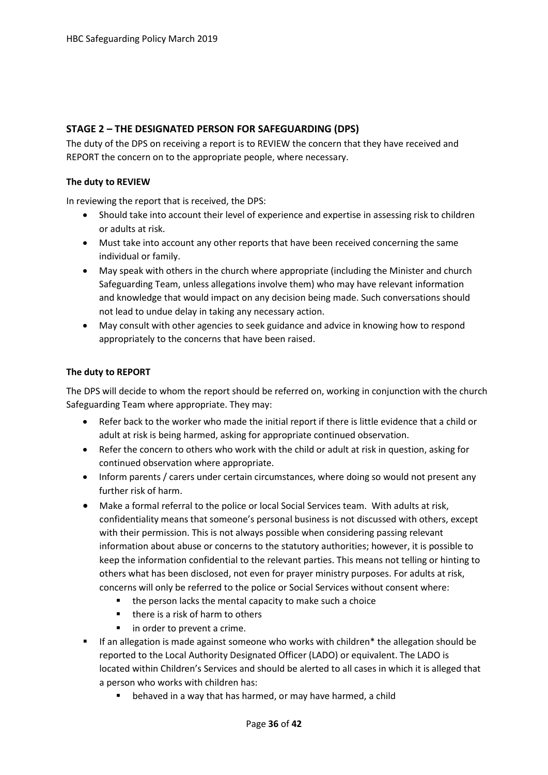#### <span id="page-35-0"></span>**STAGE 2 – THE DESIGNATED PERSON FOR SAFEGUARDING (DPS)**

The duty of the DPS on receiving a report is to REVIEW the concern that they have received and REPORT the concern on to the appropriate people, where necessary.

#### **The duty to REVIEW**

In reviewing the report that is received, the DPS:

- Should take into account their level of experience and expertise in assessing risk to children or adults at risk.
- Must take into account any other reports that have been received concerning the same individual or family.
- May speak with others in the church where appropriate (including the Minister and church Safeguarding Team, unless allegations involve them) who may have relevant information and knowledge that would impact on any decision being made. Such conversations should not lead to undue delay in taking any necessary action.
- May consult with other agencies to seek guidance and advice in knowing how to respond appropriately to the concerns that have been raised.

#### **The duty to REPORT**

The DPS will decide to whom the report should be referred on, working in conjunction with the church Safeguarding Team where appropriate. They may:

- Refer back to the worker who made the initial report if there is little evidence that a child or adult at risk is being harmed, asking for appropriate continued observation.
- Refer the concern to others who work with the child or adult at risk in question, asking for continued observation where appropriate.
- Inform parents / carers under certain circumstances, where doing so would not present any further risk of harm.
- Make a formal referral to the police or local Social Services team. With adults at risk, confidentiality means that someone's personal business is not discussed with others, except with their permission. This is not always possible when considering passing relevant information about abuse or concerns to the statutory authorities; however, it is possible to keep the information confidential to the relevant parties. This means not telling or hinting to others what has been disclosed, not even for prayer ministry purposes. For adults at risk, concerns will only be referred to the police or Social Services without consent where:
	- the person lacks the mental capacity to make such a choice
	- there is a risk of harm to others
	- in order to prevent a crime.
- If an allegation is made against someone who works with children<sup>\*</sup> the allegation should be reported to the Local Authority Designated Officer (LADO) or equivalent. The LADO is located within Children's Services and should be alerted to all cases in which it is alleged that a person who works with children has:
	- behaved in a way that has harmed, or may have harmed, a child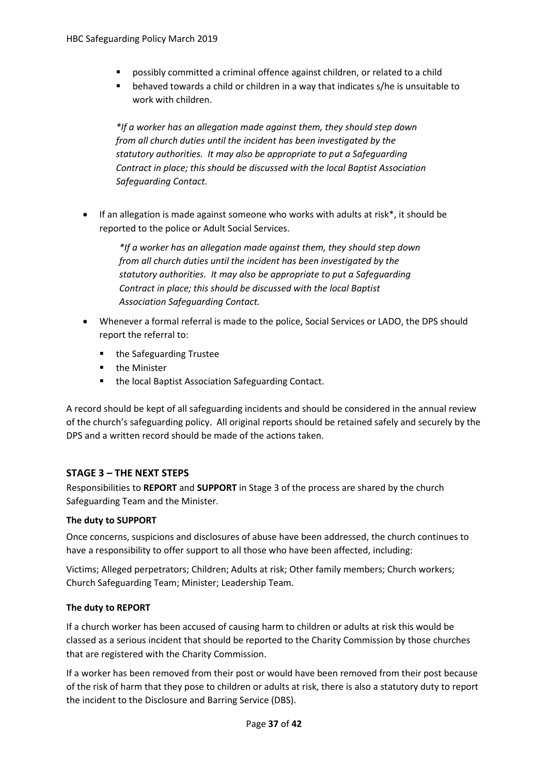- possibly committed a criminal offence against children, or related to a child
- behaved towards a child or children in a way that indicates s/he is unsuitable to work with children.

*\*If a worker has an allegation made against them, they should step down from all church duties until the incident has been investigated by the statutory authorities. It may also be appropriate to put a Safeguarding Contract in place; this should be discussed with the local Baptist Association Safeguarding Contact.*

• If an allegation is made against someone who works with adults at risk<sup>\*</sup>, it should be reported to the police or Adult Social Services.

*\*If a worker has an allegation made against them, they should step down from all church duties until the incident has been investigated by the statutory authorities. It may also be appropriate to put a Safeguarding Contract in place; this should be discussed with the local Baptist Association Safeguarding Contact.*

- Whenever a formal referral is made to the police, Social Services or LADO, the DPS should report the referral to:
	- the Safeguarding Trustee
	- the Minister
	- the local Baptist Association Safeguarding Contact.

A record should be kept of all safeguarding incidents and should be considered in the annual review of the church's safeguarding policy. All original reports should be retained safely and securely by the DPS and a written record should be made of the actions taken.

#### <span id="page-36-0"></span>**STAGE 3 – THE NEXT STEPS**

Responsibilities to **REPORT** and **SUPPORT** in Stage 3 of the process are shared by the church Safeguarding Team and the Minister.

#### **The duty to SUPPORT**

Once concerns, suspicions and disclosures of abuse have been addressed, the church continues to have a responsibility to offer support to all those who have been affected, including:

Victims; Alleged perpetrators; Children; Adults at risk; Other family members; Church workers; Church Safeguarding Team; Minister; Leadership Team.

#### **The duty to REPORT**

If a church worker has been accused of causing harm to children or adults at risk this would be classed as a serious incident that should be reported to the Charity Commission by those churches that are registered with the Charity Commission.

If a worker has been removed from their post or would have been removed from their post because of the risk of harm that they pose to children or adults at risk, there is also a statutory duty to report the incident to the Disclosure and Barring Service (DBS).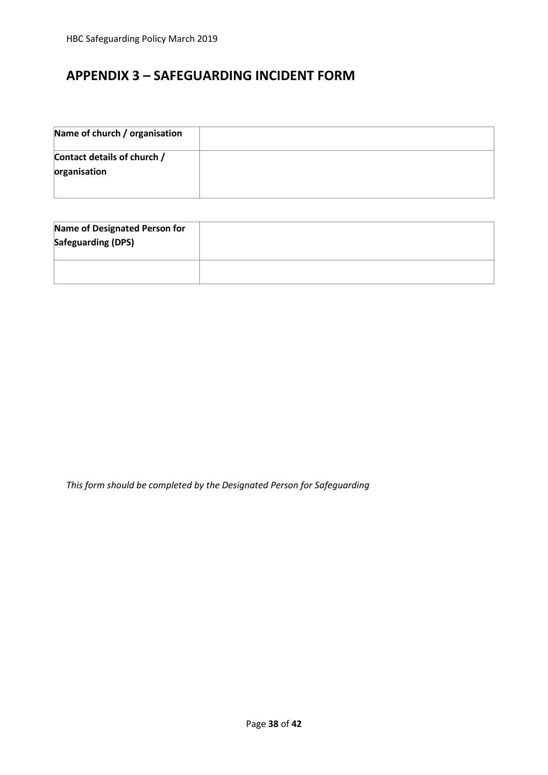# **APPENDIX 3 – SAFEGUARDING INCIDENT FORM**

| Name of church / organisation               |  |
|---------------------------------------------|--|
| Contact details of church /<br>organisation |  |
|                                             |  |

| Name of Designated Person for<br><b>Safeguarding (DPS)</b> |  |
|------------------------------------------------------------|--|
|                                                            |  |

*This form should be completed by the Designated Person for Safeguarding*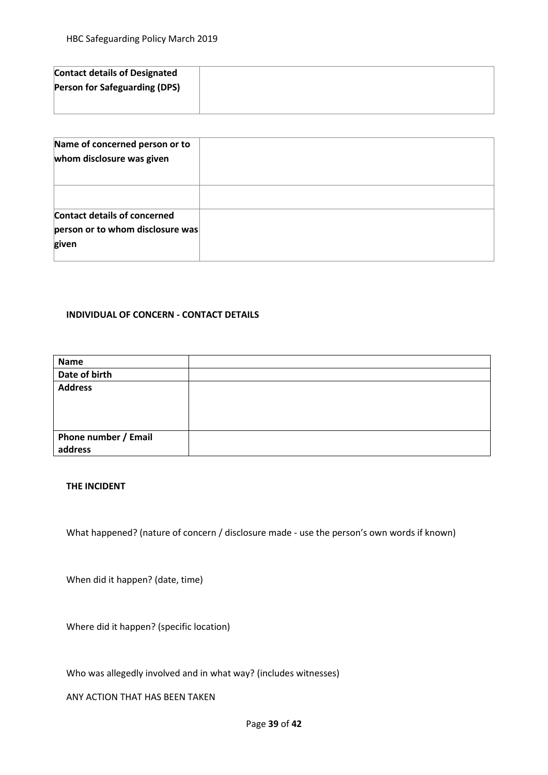| <b>Contact details of Designated</b> |
|--------------------------------------|
| <b>Person for Safeguarding (DPS)</b> |
|                                      |

| Name of concerned person or to<br>whom disclosure was given                      |  |
|----------------------------------------------------------------------------------|--|
|                                                                                  |  |
| <b>Contact details of concerned</b><br>person or to whom disclosure was<br>given |  |

#### **INDIVIDUAL OF CONCERN - CONTACT DETAILS**

| Name                 |  |
|----------------------|--|
| Date of birth        |  |
| <b>Address</b>       |  |
|                      |  |
|                      |  |
|                      |  |
| Phone number / Email |  |
| address              |  |

#### **THE INCIDENT**

What happened? (nature of concern / disclosure made - use the person's own words if known)

When did it happen? (date, time)

Where did it happen? (specific location)

Who was allegedly involved and in what way? (includes witnesses)

ANY ACTION THAT HAS BEEN TAKEN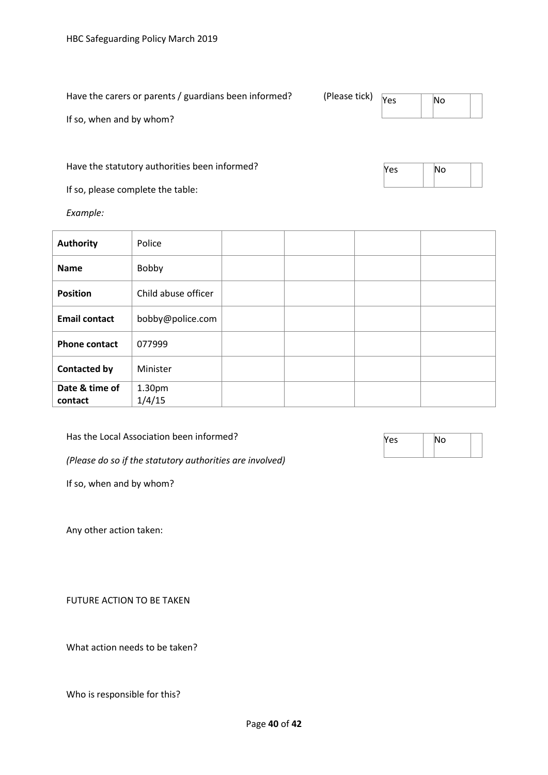Have the carers or parents / guardians been informed?

| (Please tick) $\overline{V_{\text{ac}}}$ |  |
|------------------------------------------|--|

| Yes |  |
|-----|--|
|     |  |

Yes | No

If so, when and by whom?

Have the statutory authorities been informed?

If so, please complete the table:

*Example:* 

| <b>Authority</b>          | Police              |  |  |
|---------------------------|---------------------|--|--|
| <b>Name</b>               | Bobby               |  |  |
| <b>Position</b>           | Child abuse officer |  |  |
| <b>Email contact</b>      | bobby@police.com    |  |  |
| <b>Phone contact</b>      | 077999              |  |  |
| <b>Contacted by</b>       | Minister            |  |  |
| Date & time of<br>contact | 1.30pm<br>1/4/15    |  |  |

Has the Local Association been informed?

*(Please do so if the statutory authorities are involved)*

If so, when and by whom?

Any other action taken:

FUTURE ACTION TO BE TAKEN

What action needs to be taken?

Who is responsible for this?

 $Yes$  No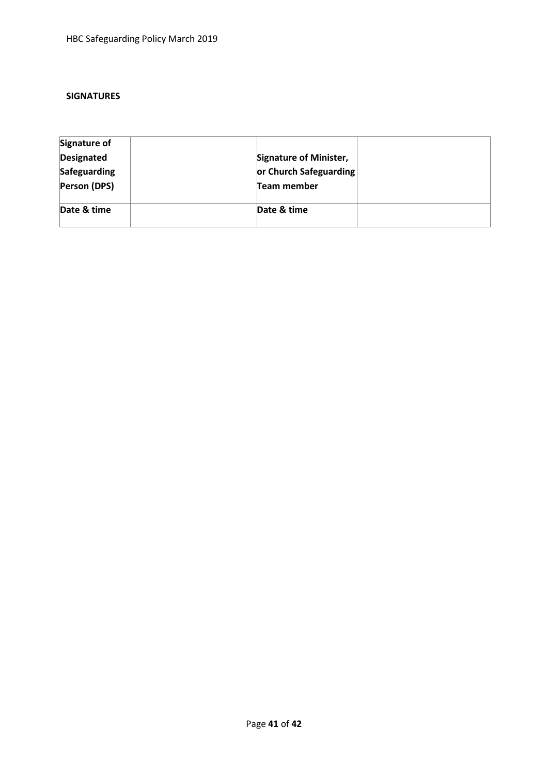#### **SIGNATURES**